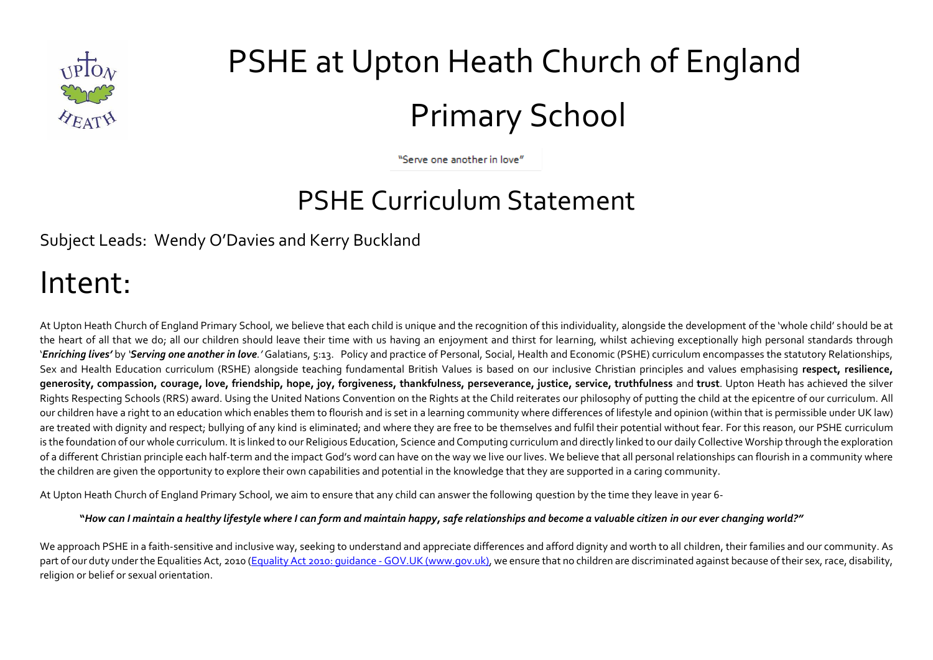

# PSHE at Upton Heath Church of England Primary School

"Serve one another in love"

### PSHE Curriculum Statement

Subject Leads: Wendy O'Davies and Kerry Buckland

### Intent:

At Upton Heath Church of England Primary School, we believe that each child is unique and the recognition of this individuality, alongside the development of the 'whole child' should be at the heart of all that we do; all our children should leave their time with us having an enjoyment and thirst for learning, whilst achieving exceptionally high personal standards through '*Enriching lives'* by *'Serving one another in love.'* Galatians, 5:13. Policy and practice of Personal, Social, Health and Economic (PSHE) curriculum encompasses the statutory Relationships, Sex and Health Education curriculum (RSHE) alongside teaching fundamental British Values is based on our inclusive Christian principles and values emphasising **respect, resilience, generosity, compassion, courage, love, friendship, hope, joy, forgiveness, thankfulness, perseverance, justice, service, truthfulness** and **trust**. Upton Heath has achieved the silver Rights Respecting Schools (RRS) award. Using the United Nations Convention on the Rights at the Child reiterates our philosophy of putting the child at the epicentre of our curriculum. All our children have a right to an education which enables them to flourish and is set in a learning community where differences of lifestyle and opinion (within that is permissible under UK law) are treated with dignity and respect; bullying of any kind is eliminated; and where they are free to be themselves and fulfil their potential without fear. For this reason, our PSHE curriculum is the foundation of our whole curriculum. It is linked to our Religious Education, Science and Computing curriculum and directly linked to our daily Collective Worship through the exploration of a different Christian principle each half-term and the impact God's word can have on the way we live our lives. We believe that all personal relationships can flourish in a community where the children are given the opportunity to explore their own capabilities and potential in the knowledge that they are supported in a caring community.

At Upton Heath Church of England Primary School, we aim to ensure that any child can answer the following question by the time they leave in year 6-

#### **"***How can I maintain a healthy lifestyle where I can form and maintain happy, safe relationships and become a valuable citizen in our ever changing world?"*

We approach PSHE in a faith-sensitive and inclusive way, seeking to understand and appreciate differences and afford dignity and worth to all children, their families and our community. As part of our duty under the Equalities Act, 2010 (Equality Act 2010: quidance - GOV.UK (www.gov.uk), we ensure that no children are discriminated against because of their sex, race, disability, religion or belief or sexual orientation.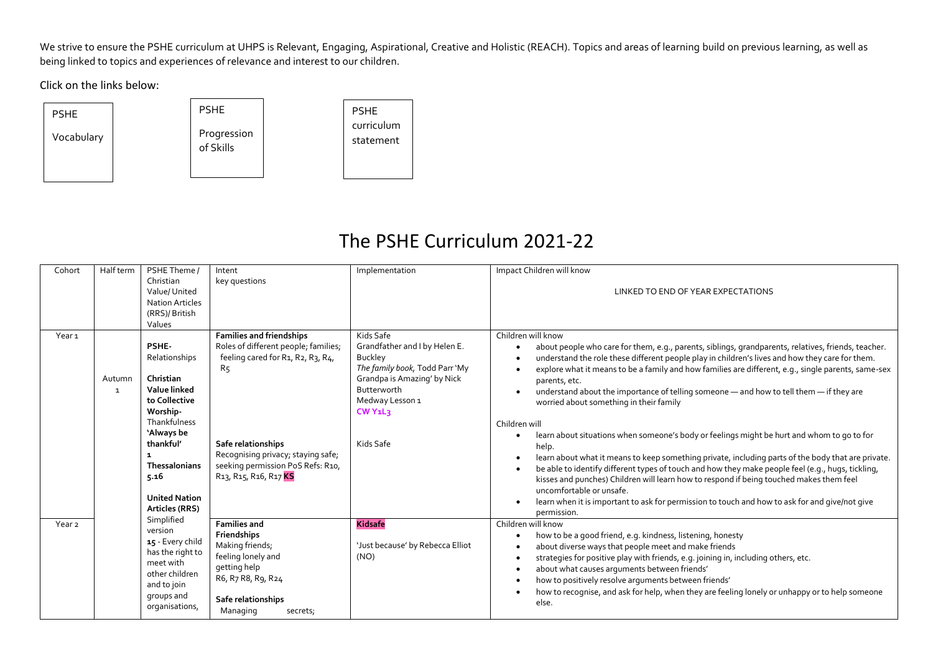We strive to ensure the PSHE curriculum at UHPS is Relevant, Engaging, Aspirational, Creative and Holistic (REACH). Topics and areas of learning build on previous learning, as well as being linked to topics and experiences of relevance and interest to our children.

Click on the links below:



### The PSHE Curriculum 2021-22

| Cohort            | Half term                                                                                  | PSHE Theme /                                                                                                                                                                                                                                                                                                   | Intent                                                                                                                                                                    | Implementation                                                                                                                                                                                                                                                                                                                                                                                                                                                                                                       | Impact Children will know                                                                                                                                                                                                                                                                                                                                                                                                                                                                                                                                                                                                   |
|-------------------|--------------------------------------------------------------------------------------------|----------------------------------------------------------------------------------------------------------------------------------------------------------------------------------------------------------------------------------------------------------------------------------------------------------------|---------------------------------------------------------------------------------------------------------------------------------------------------------------------------|----------------------------------------------------------------------------------------------------------------------------------------------------------------------------------------------------------------------------------------------------------------------------------------------------------------------------------------------------------------------------------------------------------------------------------------------------------------------------------------------------------------------|-----------------------------------------------------------------------------------------------------------------------------------------------------------------------------------------------------------------------------------------------------------------------------------------------------------------------------------------------------------------------------------------------------------------------------------------------------------------------------------------------------------------------------------------------------------------------------------------------------------------------------|
|                   |                                                                                            | Christian<br>Value/United<br><b>Nation Articles</b><br>(RRS)/British<br>Values                                                                                                                                                                                                                                 | key questions                                                                                                                                                             |                                                                                                                                                                                                                                                                                                                                                                                                                                                                                                                      | LINKED TO END OF YEAR EXPECTATIONS                                                                                                                                                                                                                                                                                                                                                                                                                                                                                                                                                                                          |
| Year <sub>1</sub> | <b>PSHE-</b><br>Relationships<br>Christian<br>Autumn<br>Value linked<br>1<br>to Collective | <b>Families and friendships</b><br>Roles of different people; families;<br>feeling cared for R1, R2, R3, R4,<br>R5                                                                                                                                                                                             | Kids Safe<br>Grandfather and I by Helen E.<br>Buckley<br>The family book, Todd Parr 'My<br>Grandpa is Amazing' by Nick<br>Butterworth<br>Medway Lesson 1                  | Children will know<br>about people who care for them, e.g., parents, siblings, grandparents, relatives, friends, teacher.<br>$\bullet$<br>understand the role these different people play in children's lives and how they care for them.<br>explore what it means to be a family and how families are different, e.g., single parents, same-sex<br>$\bullet$<br>parents, etc.<br>understand about the importance of telling someone - and how to tell them - if they are<br>worried about something in their family |                                                                                                                                                                                                                                                                                                                                                                                                                                                                                                                                                                                                                             |
|                   |                                                                                            | Worship-<br>Thankfulness<br>'Always be<br>thankful'<br>1<br>Thessalonians<br>5.16<br><b>United Nation</b><br>Articles (RRS)                                                                                                                                                                                    | Safe relationships<br>Recognising privacy; staying safe;<br>seeking permission PoS Refs: R10,<br>R <sub>13</sub> , R <sub>15</sub> , R <sub>16</sub> , R <sub>17</sub> KS | CW Y1L3<br>Kids Safe                                                                                                                                                                                                                                                                                                                                                                                                                                                                                                 | Children will<br>learn about situations when someone's body or feelings might be hurt and whom to go to for<br>$\bullet$<br>help.<br>learn about what it means to keep something private, including parts of the body that are private.<br>$\bullet$<br>be able to identify different types of touch and how they make people feel (e.g., hugs, tickling,<br>$\bullet$<br>kisses and punches) Children will learn how to respond if being touched makes them feel<br>uncomfortable or unsafe.<br>learn when it is important to ask for permission to touch and how to ask for and give/not give<br>$\bullet$<br>permission. |
| Year <sub>2</sub> |                                                                                            | Simplified<br><b>Families and</b><br>version<br>Friendships<br>15 - Every child<br>Making friends;<br>has the right to<br>feeling lonely and<br>meet with<br>getting help<br>other children<br>R6, R7 R8, R9, R24<br>and to join<br>groups and<br>Safe relationships<br>organisations,<br>Managing<br>secrets; | <b>Kidsafe</b><br>'Just because' by Rebecca Elliot<br>(NO)                                                                                                                | Children will know<br>how to be a good friend, e.g. kindness, listening, honesty<br>٠<br>about diverse ways that people meet and make friends<br>$\bullet$<br>strategies for positive play with friends, e.g. joining in, including others, etc.<br>$\bullet$<br>about what causes arguments between friends'<br>$\bullet$<br>how to positively resolve arguments between friends'<br>$\bullet$<br>how to recognise, and ask for help, when they are feeling lonely or unhappy or to help someone<br>else.           |                                                                                                                                                                                                                                                                                                                                                                                                                                                                                                                                                                                                                             |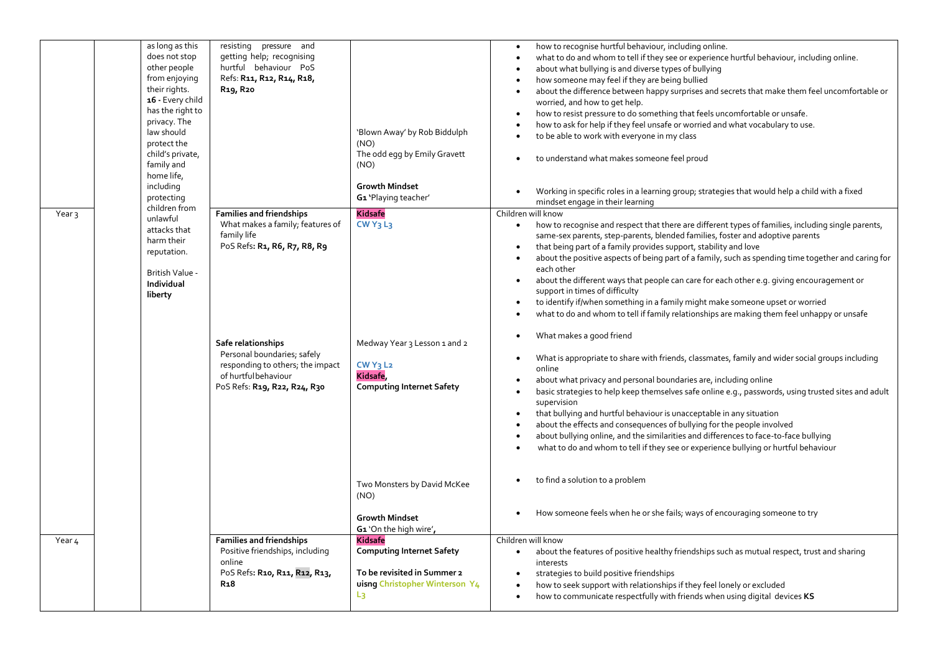|                   | law should<br>home life,<br>including | as long as this<br>does not stop<br>other people<br>from enjoying<br>their rights.<br>16 - Every child<br>has the right to<br>privacy. The<br>protect the<br>child's private,<br>family and<br>protecting | resisting pressure and<br>getting help; recognising<br>hurtful behaviour PoS<br>Refs: R11, R12, R14, R18,<br>R <sub>19</sub> , R <sub>20</sub>                                                                                                                      | 'Blown Away' by Rob Biddulph<br>(NO)<br>The odd egg by Emily Gravett<br>(NO)<br><b>Growth Mindset</b><br>G1 'Playing teacher'                            | how to recognise hurtful behaviour, including online.<br>$\bullet$<br>what to do and whom to tell if they see or experience hurtful behaviour, including online.<br>$\bullet$<br>about what bullying is and diverse types of bullying<br>how someone may feel if they are being bullied<br>$\bullet$<br>about the difference between happy surprises and secrets that make them feel uncomfortable or<br>$\bullet$<br>worried, and how to get help.<br>how to resist pressure to do something that feels uncomfortable or unsafe.<br>how to ask for help if they feel unsafe or worried and what vocabulary to use.<br>to be able to work with everyone in my class<br>to understand what makes someone feel proud<br>Working in specific roles in a learning group; strategies that would help a child with a fixed                                                                                                                                                                                                                                                                                                                                                                                                                                                                                                                                                                                                                                                                                                             |
|-------------------|---------------------------------------|-----------------------------------------------------------------------------------------------------------------------------------------------------------------------------------------------------------|---------------------------------------------------------------------------------------------------------------------------------------------------------------------------------------------------------------------------------------------------------------------|----------------------------------------------------------------------------------------------------------------------------------------------------------|----------------------------------------------------------------------------------------------------------------------------------------------------------------------------------------------------------------------------------------------------------------------------------------------------------------------------------------------------------------------------------------------------------------------------------------------------------------------------------------------------------------------------------------------------------------------------------------------------------------------------------------------------------------------------------------------------------------------------------------------------------------------------------------------------------------------------------------------------------------------------------------------------------------------------------------------------------------------------------------------------------------------------------------------------------------------------------------------------------------------------------------------------------------------------------------------------------------------------------------------------------------------------------------------------------------------------------------------------------------------------------------------------------------------------------------------------------------------------------------------------------------------------------|
| Year <sub>3</sub> | unlawful<br>Individual<br>liberty     | children from<br>attacks that<br>harm their<br>reputation.<br>British Value -                                                                                                                             | <b>Families and friendships</b><br>What makes a family; features of<br>family life<br>PoS Refs: R1, R6, R7, R8, R9<br>Safe relationships<br>Personal boundaries; safely<br>responding to others; the impact<br>of hurtful behaviour<br>PoS Refs: R19, R22, R24, R30 | <b>Kidsafe</b><br>$CWY_3L_3$<br>Medway Year 3 Lesson 1 and 2<br>CWY3L2<br>Kidsafe,<br><b>Computing Internet Safety</b>                                   | mindset engage in their learning<br>Children will know<br>how to recognise and respect that there are different types of families, including single parents,<br>$\bullet$<br>same-sex parents, step-parents, blended families, foster and adoptive parents<br>that being part of a family provides support, stability and love<br>about the positive aspects of being part of a family, such as spending time together and caring for<br>each other<br>about the different ways that people can care for each other e.g. giving encouragement or<br>$\bullet$<br>support in times of difficulty<br>to identify if/when something in a family might make someone upset or worried<br>$\bullet$<br>what to do and whom to tell if family relationships are making them feel unhappy or unsafe<br>What makes a good friend<br>$\bullet$<br>What is appropriate to share with friends, classmates, family and wider social groups including<br>$\bullet$<br>online<br>about what privacy and personal boundaries are, including online<br>basic strategies to help keep themselves safe online e.g., passwords, using trusted sites and adult<br>supervision<br>that bullying and hurtful behaviour is unacceptable in any situation<br>$\bullet$<br>about the effects and consequences of bullying for the people involved<br>$\bullet$<br>about bullying online, and the similarities and differences to face-to-face bullying<br>what to do and whom to tell if they see or experience bullying or hurtful behaviour<br>$\bullet$ |
|                   |                                       |                                                                                                                                                                                                           |                                                                                                                                                                                                                                                                     | Two Monsters by David McKee<br>(NO)<br><b>Growth Mindset</b>                                                                                             | to find a solution to a problem<br>How someone feels when he or she fails; ways of encouraging someone to try                                                                                                                                                                                                                                                                                                                                                                                                                                                                                                                                                                                                                                                                                                                                                                                                                                                                                                                                                                                                                                                                                                                                                                                                                                                                                                                                                                                                                    |
| Year 4            |                                       |                                                                                                                                                                                                           | <b>Families and friendships</b><br>Positive friendships, including<br>online<br>PoS Refs: R10, R11, R12, R13,<br>R <sub>1</sub> 8                                                                                                                                   | G1 'On the high wire',<br>Kidsafe<br><b>Computing Internet Safety</b><br>To be revisited in Summer 2<br>uisng Christopher Winterson Y4<br>L <sub>3</sub> | Children will know<br>about the features of positive healthy friendships such as mutual respect, trust and sharing<br>$\bullet$<br>interests<br>strategies to build positive friendships<br>how to seek support with relationships if they feel lonely or excluded<br>$\bullet$<br>how to communicate respectfully with friends when using digital devices KS<br>$\bullet$                                                                                                                                                                                                                                                                                                                                                                                                                                                                                                                                                                                                                                                                                                                                                                                                                                                                                                                                                                                                                                                                                                                                                       |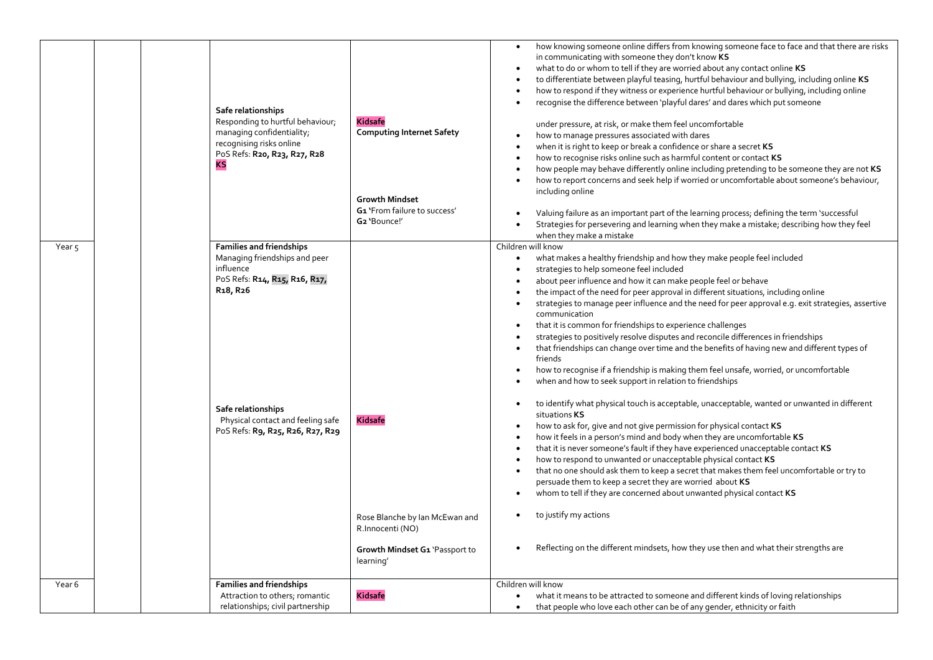|                   | KS | Safe relationships<br>Responding to hurtful behaviour;<br>managing confidentiality;<br>recognising risks online<br>PoS Refs: R20, R23, R27, R28 | <b>Kidsafe</b><br><b>Computing Internet Safety</b><br><b>Growth Mindset</b><br>G1 'From failure to success'<br>G2 'Bounce!' | how knowing someone online differs from knowing someone face to face and that there are risks<br>in communicating with someone they don't know KS<br>what to do or whom to tell if they are worried about any contact online KS<br>to differentiate between playful teasing, hurtful behaviour and bullying, including online KS<br>how to respond if they witness or experience hurtful behaviour or bullying, including online<br>recognise the difference between 'playful dares' and dares which put someone<br>under pressure, at risk, or make them feel uncomfortable<br>how to manage pressures associated with dares<br>when it is right to keep or break a confidence or share a secret KS<br>how to recognise risks online such as harmful content or contact KS<br>how people may behave differently online including pretending to be someone they are not KS<br>how to report concerns and seek help if worried or uncomfortable about someone's behaviour,<br>including online<br>Valuing failure as an important part of the learning process; defining the term 'successful<br>Strategies for persevering and learning when they make a mistake; describing how they feel |
|-------------------|----|-------------------------------------------------------------------------------------------------------------------------------------------------|-----------------------------------------------------------------------------------------------------------------------------|--------------------------------------------------------------------------------------------------------------------------------------------------------------------------------------------------------------------------------------------------------------------------------------------------------------------------------------------------------------------------------------------------------------------------------------------------------------------------------------------------------------------------------------------------------------------------------------------------------------------------------------------------------------------------------------------------------------------------------------------------------------------------------------------------------------------------------------------------------------------------------------------------------------------------------------------------------------------------------------------------------------------------------------------------------------------------------------------------------------------------------------------------------------------------------------------|
|                   |    |                                                                                                                                                 |                                                                                                                             | when they make a mistake                                                                                                                                                                                                                                                                                                                                                                                                                                                                                                                                                                                                                                                                                                                                                                                                                                                                                                                                                                                                                                                                                                                                                                   |
|                   |    | <b>Families and friendships</b>                                                                                                                 |                                                                                                                             | Children will know                                                                                                                                                                                                                                                                                                                                                                                                                                                                                                                                                                                                                                                                                                                                                                                                                                                                                                                                                                                                                                                                                                                                                                         |
| Year <sub>5</sub> |    |                                                                                                                                                 |                                                                                                                             |                                                                                                                                                                                                                                                                                                                                                                                                                                                                                                                                                                                                                                                                                                                                                                                                                                                                                                                                                                                                                                                                                                                                                                                            |
|                   |    | Managing friendships and peer                                                                                                                   |                                                                                                                             | what makes a healthy friendship and how they make people feel included                                                                                                                                                                                                                                                                                                                                                                                                                                                                                                                                                                                                                                                                                                                                                                                                                                                                                                                                                                                                                                                                                                                     |
|                   |    | influence                                                                                                                                       |                                                                                                                             | strategies to help someone feel included                                                                                                                                                                                                                                                                                                                                                                                                                                                                                                                                                                                                                                                                                                                                                                                                                                                                                                                                                                                                                                                                                                                                                   |
|                   |    | PoS Refs: R14, R15, R16, R17,                                                                                                                   |                                                                                                                             | about peer influence and how it can make people feel or behave                                                                                                                                                                                                                                                                                                                                                                                                                                                                                                                                                                                                                                                                                                                                                                                                                                                                                                                                                                                                                                                                                                                             |
|                   |    | R <sub>1</sub> 8, R <sub>26</sub>                                                                                                               |                                                                                                                             | the impact of the need for peer approval in different situations, including online                                                                                                                                                                                                                                                                                                                                                                                                                                                                                                                                                                                                                                                                                                                                                                                                                                                                                                                                                                                                                                                                                                         |
|                   |    |                                                                                                                                                 |                                                                                                                             | strategies to manage peer influence and the need for peer approval e.g. exit strategies, assertive                                                                                                                                                                                                                                                                                                                                                                                                                                                                                                                                                                                                                                                                                                                                                                                                                                                                                                                                                                                                                                                                                         |
|                   |    |                                                                                                                                                 |                                                                                                                             | communication                                                                                                                                                                                                                                                                                                                                                                                                                                                                                                                                                                                                                                                                                                                                                                                                                                                                                                                                                                                                                                                                                                                                                                              |
|                   |    |                                                                                                                                                 |                                                                                                                             | that it is common for friendships to experience challenges                                                                                                                                                                                                                                                                                                                                                                                                                                                                                                                                                                                                                                                                                                                                                                                                                                                                                                                                                                                                                                                                                                                                 |
|                   |    |                                                                                                                                                 |                                                                                                                             | strategies to positively resolve disputes and reconcile differences in friendships                                                                                                                                                                                                                                                                                                                                                                                                                                                                                                                                                                                                                                                                                                                                                                                                                                                                                                                                                                                                                                                                                                         |
|                   |    |                                                                                                                                                 |                                                                                                                             | that friendships can change over time and the benefits of having new and different types of                                                                                                                                                                                                                                                                                                                                                                                                                                                                                                                                                                                                                                                                                                                                                                                                                                                                                                                                                                                                                                                                                                |
|                   |    |                                                                                                                                                 |                                                                                                                             | friends                                                                                                                                                                                                                                                                                                                                                                                                                                                                                                                                                                                                                                                                                                                                                                                                                                                                                                                                                                                                                                                                                                                                                                                    |
|                   |    |                                                                                                                                                 |                                                                                                                             | how to recognise if a friendship is making them feel unsafe, worried, or uncomfortable<br>$\bullet$                                                                                                                                                                                                                                                                                                                                                                                                                                                                                                                                                                                                                                                                                                                                                                                                                                                                                                                                                                                                                                                                                        |
|                   |    |                                                                                                                                                 |                                                                                                                             | when and how to seek support in relation to friendships                                                                                                                                                                                                                                                                                                                                                                                                                                                                                                                                                                                                                                                                                                                                                                                                                                                                                                                                                                                                                                                                                                                                    |
|                   |    | Safe relationships<br>Physical contact and feeling safe                                                                                         | <b>Kidsafe</b>                                                                                                              | to identify what physical touch is acceptable, unacceptable, wanted or unwanted in different<br>situations KS                                                                                                                                                                                                                                                                                                                                                                                                                                                                                                                                                                                                                                                                                                                                                                                                                                                                                                                                                                                                                                                                              |
|                   |    | PoS Refs: R9, R25, R26, R27, R29                                                                                                                |                                                                                                                             | how to ask for, give and not give permission for physical contact KS                                                                                                                                                                                                                                                                                                                                                                                                                                                                                                                                                                                                                                                                                                                                                                                                                                                                                                                                                                                                                                                                                                                       |
|                   |    |                                                                                                                                                 |                                                                                                                             | how it feels in a person's mind and body when they are uncomfortable KS                                                                                                                                                                                                                                                                                                                                                                                                                                                                                                                                                                                                                                                                                                                                                                                                                                                                                                                                                                                                                                                                                                                    |
|                   |    |                                                                                                                                                 |                                                                                                                             | that it is never someone's fault if they have experienced unacceptable contact KS                                                                                                                                                                                                                                                                                                                                                                                                                                                                                                                                                                                                                                                                                                                                                                                                                                                                                                                                                                                                                                                                                                          |
|                   |    |                                                                                                                                                 |                                                                                                                             | how to respond to unwanted or unacceptable physical contact KS                                                                                                                                                                                                                                                                                                                                                                                                                                                                                                                                                                                                                                                                                                                                                                                                                                                                                                                                                                                                                                                                                                                             |
|                   |    |                                                                                                                                                 |                                                                                                                             | that no one should ask them to keep a secret that makes them feel uncomfortable or try to                                                                                                                                                                                                                                                                                                                                                                                                                                                                                                                                                                                                                                                                                                                                                                                                                                                                                                                                                                                                                                                                                                  |
|                   |    |                                                                                                                                                 |                                                                                                                             | persuade them to keep a secret they are worried about KS                                                                                                                                                                                                                                                                                                                                                                                                                                                                                                                                                                                                                                                                                                                                                                                                                                                                                                                                                                                                                                                                                                                                   |
|                   |    |                                                                                                                                                 |                                                                                                                             | whom to tell if they are concerned about unwanted physical contact KS                                                                                                                                                                                                                                                                                                                                                                                                                                                                                                                                                                                                                                                                                                                                                                                                                                                                                                                                                                                                                                                                                                                      |
|                   |    |                                                                                                                                                 | Rose Blanche by Ian McEwan and                                                                                              | to justify my actions                                                                                                                                                                                                                                                                                                                                                                                                                                                                                                                                                                                                                                                                                                                                                                                                                                                                                                                                                                                                                                                                                                                                                                      |
|                   |    |                                                                                                                                                 | R.Innocenti (NO)                                                                                                            |                                                                                                                                                                                                                                                                                                                                                                                                                                                                                                                                                                                                                                                                                                                                                                                                                                                                                                                                                                                                                                                                                                                                                                                            |
|                   |    |                                                                                                                                                 | Growth Mindset G1 'Passport to<br>learning'                                                                                 | Reflecting on the different mindsets, how they use then and what their strengths are                                                                                                                                                                                                                                                                                                                                                                                                                                                                                                                                                                                                                                                                                                                                                                                                                                                                                                                                                                                                                                                                                                       |
| Year 6            |    | <b>Families and friendships</b>                                                                                                                 |                                                                                                                             | Children will know                                                                                                                                                                                                                                                                                                                                                                                                                                                                                                                                                                                                                                                                                                                                                                                                                                                                                                                                                                                                                                                                                                                                                                         |
|                   |    | Attraction to others; romantic                                                                                                                  | <b>Kidsafe</b>                                                                                                              | what it means to be attracted to someone and different kinds of loving relationships                                                                                                                                                                                                                                                                                                                                                                                                                                                                                                                                                                                                                                                                                                                                                                                                                                                                                                                                                                                                                                                                                                       |
|                   |    | relationships; civil partnership                                                                                                                |                                                                                                                             | that people who love each other can be of any gender, ethnicity or faith<br>$\bullet$                                                                                                                                                                                                                                                                                                                                                                                                                                                                                                                                                                                                                                                                                                                                                                                                                                                                                                                                                                                                                                                                                                      |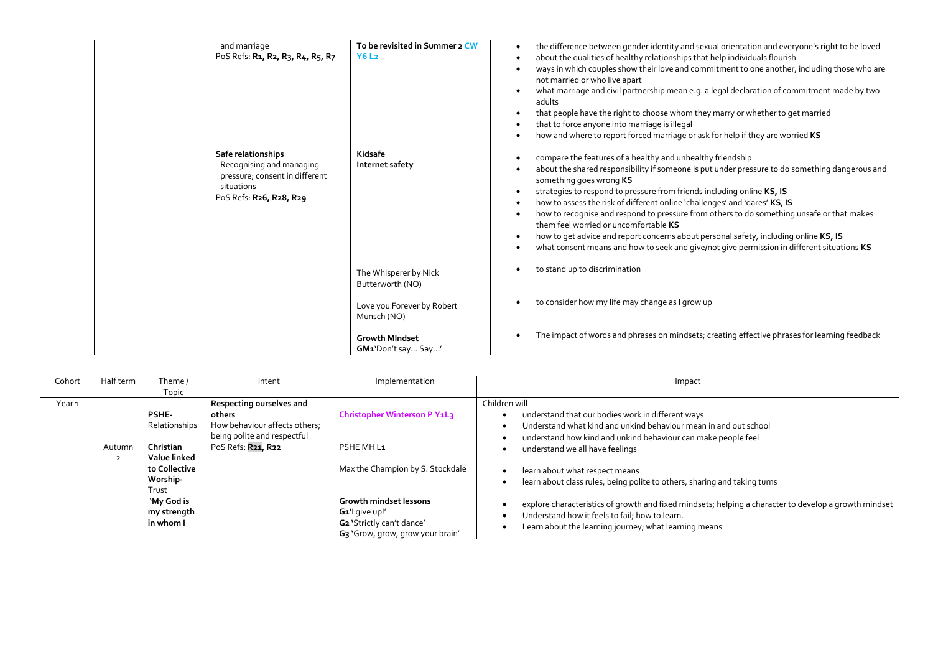| and marriage<br>PoS Refs: R <sub>1</sub> , R <sub>2</sub> , R <sub>3</sub> , R <sub>4</sub> , R <sub>5</sub> , R <sub>7</sub><br>Safe relationships<br>Recognising and managing<br>pressure; consent in different<br>situations<br>PoS Refs: R26, R28, R29 | To be revisited in Summer 2 CW<br><b>Y6L2</b><br>Kidsafe<br>Internet safety | the difference between gender identity and sexual orientation and everyone's right to be loved<br>about the qualities of healthy relationships that help individuals flourish<br>ways in which couples show their love and commitment to one another, including those who are<br>not married or who live apart<br>what marriage and civil partnership mean e.g. a legal declaration of commitment made by two<br>adults<br>that people have the right to choose whom they marry or whether to get married<br>that to force anyone into marriage is illegal<br>how and where to report forced marriage or ask for help if they are worried KS<br>compare the features of a healthy and unhealthy friendship<br>about the shared responsibility if someone is put under pressure to do something dangerous and<br>something goes wrong KS<br>strategies to respond to pressure from friends including online KS, IS<br>how to assess the risk of different online 'challenges' and 'dares' KS, IS<br>how to recognise and respond to pressure from others to do something unsafe or that makes<br>them feel worried or uncomfortable KS<br>how to get advice and report concerns about personal safety, including online KS, IS<br>what consent means and how to seek and give/not give permission in different situations KS |
|------------------------------------------------------------------------------------------------------------------------------------------------------------------------------------------------------------------------------------------------------------|-----------------------------------------------------------------------------|-----------------------------------------------------------------------------------------------------------------------------------------------------------------------------------------------------------------------------------------------------------------------------------------------------------------------------------------------------------------------------------------------------------------------------------------------------------------------------------------------------------------------------------------------------------------------------------------------------------------------------------------------------------------------------------------------------------------------------------------------------------------------------------------------------------------------------------------------------------------------------------------------------------------------------------------------------------------------------------------------------------------------------------------------------------------------------------------------------------------------------------------------------------------------------------------------------------------------------------------------------------------------------------------------------------------------------|
|                                                                                                                                                                                                                                                            | The Whisperer by Nick<br>Butterworth (NO)                                   | to stand up to discrimination                                                                                                                                                                                                                                                                                                                                                                                                                                                                                                                                                                                                                                                                                                                                                                                                                                                                                                                                                                                                                                                                                                                                                                                                                                                                                               |
|                                                                                                                                                                                                                                                            | Love you Forever by Robert<br>Munsch (NO)                                   | to consider how my life may change as I grow up                                                                                                                                                                                                                                                                                                                                                                                                                                                                                                                                                                                                                                                                                                                                                                                                                                                                                                                                                                                                                                                                                                                                                                                                                                                                             |
|                                                                                                                                                                                                                                                            | <b>Growth MIndset</b><br>GM1'Don't say Say'                                 | The impact of words and phrases on mindsets; creating effective phrases for learning feedback                                                                                                                                                                                                                                                                                                                                                                                                                                                                                                                                                                                                                                                                                                                                                                                                                                                                                                                                                                                                                                                                                                                                                                                                                               |

| Cohort            | Half term                | Theme /                                                                                                                             | Intent                                                                                                                   | Implementation                                                                                                                                                                                                             | Impact                                                                                                                                                                                                                                                                                                                                                                                                                                                                                                                                                                        |
|-------------------|--------------------------|-------------------------------------------------------------------------------------------------------------------------------------|--------------------------------------------------------------------------------------------------------------------------|----------------------------------------------------------------------------------------------------------------------------------------------------------------------------------------------------------------------------|-------------------------------------------------------------------------------------------------------------------------------------------------------------------------------------------------------------------------------------------------------------------------------------------------------------------------------------------------------------------------------------------------------------------------------------------------------------------------------------------------------------------------------------------------------------------------------|
|                   |                          | Topic                                                                                                                               |                                                                                                                          |                                                                                                                                                                                                                            |                                                                                                                                                                                                                                                                                                                                                                                                                                                                                                                                                                               |
| Year <sub>1</sub> | Autumn<br>$\overline{2}$ | PSHE-<br>Relationships<br>Christian<br>Value linked<br>to Collective<br>Worship-<br>Trust<br>'My God is<br>my strength<br>in whom I | Respecting ourselves and<br>others<br>How behaviour affects others;<br>being polite and respectful<br>PoS Refs: R21, R22 | Christopher Winterson P Y1L3<br>PSHE MH L <sub>1</sub><br>Max the Champion by S. Stockdale<br><b>Growth mindset lessons</b><br>G1'l give up!'<br>G2 'Strictly can't dance'<br>G <sub>3</sub> 'Grow, grow, grow your brain' | Children will<br>understand that our bodies work in different ways<br>Understand what kind and unkind behaviour mean in and out school<br>understand how kind and unkind behaviour can make people feel<br>understand we all have feelings<br>learn about what respect means<br>learn about class rules, being polite to others, sharing and taking turns<br>explore characteristics of growth and fixed mindsets; helping a character to develop a growth mindset<br>Understand how it feels to fail; how to learn.<br>Learn about the learning journey; what learning means |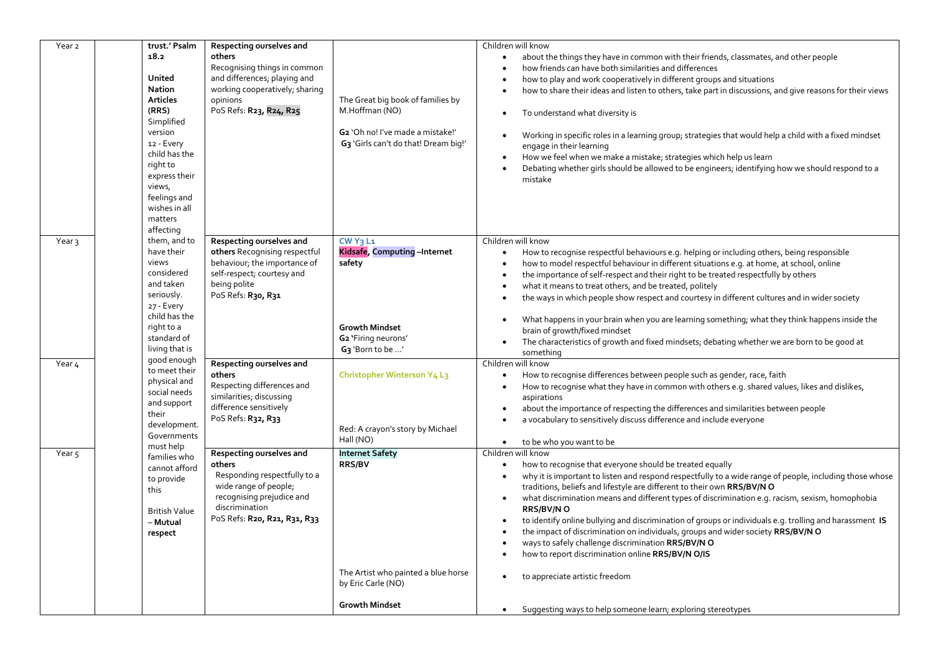| Year 2            | trust.' Psalm                 | Respecting ourselves and                    |                                                  | Children will know                                                                                                        |
|-------------------|-------------------------------|---------------------------------------------|--------------------------------------------------|---------------------------------------------------------------------------------------------------------------------------|
|                   | 18.2                          | others                                      |                                                  | about the things they have in common with their friends, classmates, and other people<br>$\bullet$                        |
|                   |                               | Recognising things in common                |                                                  | how friends can have both similarities and differences                                                                    |
|                   | United                        | and differences; playing and                |                                                  | how to play and work cooperatively in different groups and situations                                                     |
|                   | Nation                        | working cooperatively; sharing              |                                                  | how to share their ideas and listen to others, take part in discussions, and give reasons for their views                 |
|                   | <b>Articles</b>               | opinions                                    | The Great big book of families by                |                                                                                                                           |
|                   | (RRS)                         | PoS Refs: R23, R24, R25                     | M.Hoffman (NO)                                   | To understand what diversity is                                                                                           |
|                   | Simplified                    |                                             |                                                  |                                                                                                                           |
|                   | version                       |                                             | G <sub>2</sub> 'Oh no! I've made a mistake!'     |                                                                                                                           |
|                   | 12 - Every                    |                                             | G <sub>3</sub> 'Girls can't do that! Dream big!' | Working in specific roles in a learning group; strategies that would help a child with a fixed mindset<br>$\bullet$       |
|                   | child has the                 |                                             |                                                  | engage in their learning                                                                                                  |
|                   | right to                      |                                             |                                                  | How we feel when we make a mistake; strategies which help us learn<br>$\bullet$                                           |
|                   | express their                 |                                             |                                                  | Debating whether girls should be allowed to be engineers; identifying how we should respond to a                          |
|                   | views,                        |                                             |                                                  | mistake                                                                                                                   |
|                   | feelings and                  |                                             |                                                  |                                                                                                                           |
|                   | wishes in all                 |                                             |                                                  |                                                                                                                           |
|                   | matters                       |                                             |                                                  |                                                                                                                           |
|                   | affecting                     |                                             |                                                  |                                                                                                                           |
| Year <sub>3</sub> | them, and to                  | Respecting ourselves and                    | $CWY_3L_1$                                       | Children will know                                                                                                        |
|                   | have their                    | others Recognising respectful               | Kidsafe, Computing-Internet                      | How to recognise respectful behaviours e.g. helping or including others, being responsible<br>$\bullet$                   |
|                   | views                         | behaviour; the importance of                | safety                                           | how to model respectful behaviour in different situations e.g. at home, at school, online<br>$\bullet$                    |
|                   | considered                    | self-respect; courtesy and                  |                                                  | the importance of self-respect and their right to be treated respectfully by others<br>$\bullet$                          |
|                   | and taken                     | being polite                                |                                                  | what it means to treat others, and be treated, politely                                                                   |
|                   | seriously.                    | PoS Refs: R30, R31                          |                                                  | the ways in which people show respect and courtesy in different cultures and in wider society                             |
|                   | 27 - Every                    |                                             |                                                  |                                                                                                                           |
|                   | child has the                 |                                             |                                                  | What happens in your brain when you are learning something; what they think happens inside the<br>$\bullet$               |
|                   | right to a                    |                                             | <b>Growth Mindset</b>                            | brain of growth/fixed mindset                                                                                             |
|                   | standard of                   |                                             | G2 'Firing neurons'                              | The characteristics of growth and fixed mindsets; debating whether we are born to be good at<br>$\bullet$                 |
|                   | living that is                |                                             | G3 'Born to be '                                 | something                                                                                                                 |
| Year 4            | good enough                   | Respecting ourselves and                    |                                                  | Children will know                                                                                                        |
|                   | to meet their<br>physical and | others                                      | Christopher Winterson Y4 L3                      | How to recognise differences between people such as gender, race, faith<br>$\bullet$                                      |
|                   | social needs                  | Respecting differences and                  |                                                  | How to recognise what they have in common with others e.g. shared values, likes and dislikes,<br>$\bullet$                |
|                   | and support                   | similarities; discussing                    |                                                  | aspirations                                                                                                               |
|                   | their                         | difference sensitively                      |                                                  | about the importance of respecting the differences and similarities between people                                        |
|                   | development.                  | PoS Refs: R32, R33                          |                                                  | a vocabulary to sensitively discuss difference and include everyone                                                       |
|                   | Governments                   |                                             | Red: A crayon's story by Michael                 |                                                                                                                           |
|                   | must help                     |                                             | Hall (NO)                                        | to be who you want to be<br>$\bullet$                                                                                     |
| Year <sub>5</sub> | families who                  | Respecting ourselves and                    | <b>Internet Safety</b>                           | Children will know                                                                                                        |
|                   | cannot afford                 | others                                      | RRS/BV                                           | how to recognise that everyone should be treated equally<br>$\bullet$                                                     |
|                   | to provide                    | Responding respectfully to a                |                                                  | why it is important to listen and respond respectfully to a wide range of people, including those whose<br>$\bullet$      |
|                   | this                          | wide range of people;                       |                                                  | traditions, beliefs and lifestyle are different to their own RRS/BV/NO                                                    |
|                   |                               | recognising prejudice and<br>discrimination |                                                  | what discrimination means and different types of discrimination e.g. racism, sexism, homophobia<br>$\bullet$<br>RRS/BV/NO |
|                   | <b>British Value</b>          | PoS Refs: R20, R21, R31, R33                |                                                  | to identify online bullying and discrimination of groups or individuals e.g. trolling and harassment IS<br>$\bullet$      |
|                   | - Mutual<br>respect           |                                             |                                                  | the impact of discrimination on individuals, groups and wider society RRS/BV/NO                                           |
|                   |                               |                                             |                                                  | ways to safely challenge discrimination RRS/BV/NO<br>$\bullet$                                                            |
|                   |                               |                                             |                                                  | how to report discrimination online RRS/BV/N O/IS                                                                         |
|                   |                               |                                             |                                                  |                                                                                                                           |
|                   |                               |                                             | The Artist who painted a blue horse              | to appreciate artistic freedom                                                                                            |
|                   |                               |                                             | by Eric Carle (NO)                               |                                                                                                                           |
|                   |                               |                                             |                                                  |                                                                                                                           |
|                   |                               |                                             | <b>Growth Mindset</b>                            | Suggesting ways to help someone learn; exploring stereotypes<br>$\bullet$                                                 |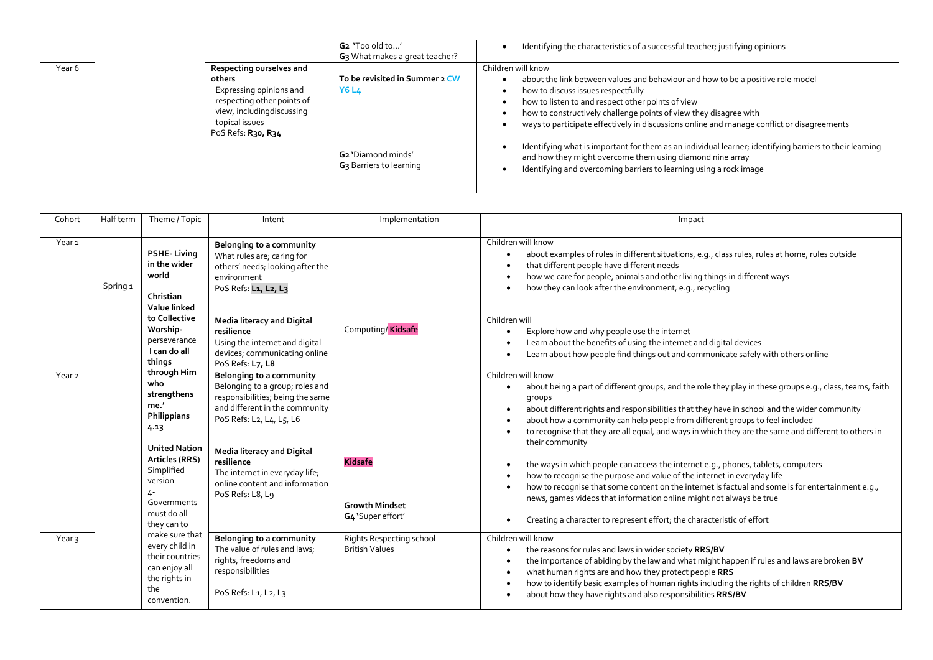|        |                                                                                                                                                                   | G2 'Too old to'<br>G <sub>3</sub> What makes a great teacher?         | Identifying the characteristics of a successful teacher; justifying opinions                                                                                                                                                                                                                                                                                        |
|--------|-------------------------------------------------------------------------------------------------------------------------------------------------------------------|-----------------------------------------------------------------------|---------------------------------------------------------------------------------------------------------------------------------------------------------------------------------------------------------------------------------------------------------------------------------------------------------------------------------------------------------------------|
| Year 6 | Respecting ourselves and<br>others<br>Expressing opinions and<br>respecting other points of<br>view, including discussing<br>topical issues<br>PoS Refs: R30, R34 | To be revisited in Summer 2 CW<br><b>Y6 L4</b>                        | Children will know<br>about the link between values and behaviour and how to be a positive role model<br>how to discuss issues respectfully<br>how to listen to and respect other points of view<br>how to constructively challenge points of view they disagree with<br>ways to participate effectively in discussions online and manage conflict or disagreements |
|        |                                                                                                                                                                   | G <sub>2</sub> 'Diamond minds'<br>G <sub>3</sub> Barriers to learning | Identifying what is important for them as an individual learner; identifying barriers to their learning<br>and how they might overcome them using diamond nine array<br>Identifying and overcoming barriers to learning using a rock image                                                                                                                          |

| Cohort            | Half term                                                                                                                                                    | Theme / Topic                                                                                                                                                                                    | Intent                                                                                                                                                                                                                                                                                            | Implementation                                                                                                                                                                                                                                                                                                                                                                                            | Impact                                                                                                                                                                                                                                                                                                                                                                                                                                                                                                                                                                                                                                                                                                                                                                                                                                                                                                           |
|-------------------|--------------------------------------------------------------------------------------------------------------------------------------------------------------|--------------------------------------------------------------------------------------------------------------------------------------------------------------------------------------------------|---------------------------------------------------------------------------------------------------------------------------------------------------------------------------------------------------------------------------------------------------------------------------------------------------|-----------------------------------------------------------------------------------------------------------------------------------------------------------------------------------------------------------------------------------------------------------------------------------------------------------------------------------------------------------------------------------------------------------|------------------------------------------------------------------------------------------------------------------------------------------------------------------------------------------------------------------------------------------------------------------------------------------------------------------------------------------------------------------------------------------------------------------------------------------------------------------------------------------------------------------------------------------------------------------------------------------------------------------------------------------------------------------------------------------------------------------------------------------------------------------------------------------------------------------------------------------------------------------------------------------------------------------|
| Year <sub>1</sub> | <b>PSHE-Living</b><br>in the wider<br>world<br>Spring <sub>1</sub><br>Christian<br>Value linked<br>to Collective<br>Worship-<br>perseverance<br>I can do all | <b>Belonging to a community</b><br>What rules are; caring for<br>others' needs; looking after the<br>environment<br>PoS Refs: L1, L2, L3<br><b>Media literacy and Digital</b>                    | Computing/Kidsafe                                                                                                                                                                                                                                                                                 | Children will know<br>about examples of rules in different situations, e.g., class rules, rules at home, rules outside<br>$\bullet$<br>that different people have different needs<br>how we care for people, animals and other living things in different ways<br>$\bullet$<br>how they can look after the environment, e.g., recycling<br>Children will                                                  |                                                                                                                                                                                                                                                                                                                                                                                                                                                                                                                                                                                                                                                                                                                                                                                                                                                                                                                  |
|                   |                                                                                                                                                              | resilience<br>Using the internet and digital<br>devices; communicating online<br>PoS Refs: L7, L8                                                                                                |                                                                                                                                                                                                                                                                                                   | Explore how and why people use the internet<br>Learn about the benefits of using the internet and digital devices<br>$\bullet$<br>Learn about how people find things out and communicate safely with others online                                                                                                                                                                                        |                                                                                                                                                                                                                                                                                                                                                                                                                                                                                                                                                                                                                                                                                                                                                                                                                                                                                                                  |
| Year <sub>2</sub> |                                                                                                                                                              | things<br>through Him<br>who<br>strengthens<br>me.'<br>Philippians<br>4.13<br><b>United Nation</b><br>Articles (RRS)<br>Simplified<br>version<br>4-<br>Governments<br>must do all<br>they can to | Belonging to a community<br>Belonging to a group; roles and<br>responsibilities; being the same<br>and different in the community<br>PoS Refs: L2, L4, L5, L6<br>Media literacy and Digital<br>resilience<br>The internet in everyday life;<br>online content and information<br>PoS Refs: L8, L9 | <b>Kidsafe</b><br><b>Growth Mindset</b><br>G4 'Super effort'                                                                                                                                                                                                                                                                                                                                              | Children will know<br>about being a part of different groups, and the role they play in these groups e.g., class, teams, faith<br>groups<br>about different rights and responsibilities that they have in school and the wider community<br>$\bullet$<br>about how a community can help people from different groups to feel included<br>to recognise that they are all equal, and ways in which they are the same and different to others in<br>$\bullet$<br>their community<br>the ways in which people can access the internet e.g., phones, tablets, computers<br>how to recognise the purpose and value of the internet in everyday life<br>how to recognise that some content on the internet is factual and some is for entertainment e.g.,<br>$\bullet$<br>news, games videos that information online might not always be true<br>Creating a character to represent effort; the characteristic of effort |
| Year <sub>3</sub> | make sure that<br>every child in<br>their countries<br>can enjoy all<br>the rights in<br>the<br>convention.                                                  | Belonging to a community<br>The value of rules and laws;<br>rights, freedoms and<br>responsibilities<br>PoS Refs: L1, L2, L3                                                                     | Rights Respecting school<br><b>British Values</b>                                                                                                                                                                                                                                                 | Children will know<br>the reasons for rules and laws in wider society RRS/BV<br>the importance of abiding by the law and what might happen if rules and laws are broken BV<br>$\bullet$<br>what human rights are and how they protect people RRS<br>how to identify basic examples of human rights including the rights of children RRS/BV<br>about how they have rights and also responsibilities RRS/BV |                                                                                                                                                                                                                                                                                                                                                                                                                                                                                                                                                                                                                                                                                                                                                                                                                                                                                                                  |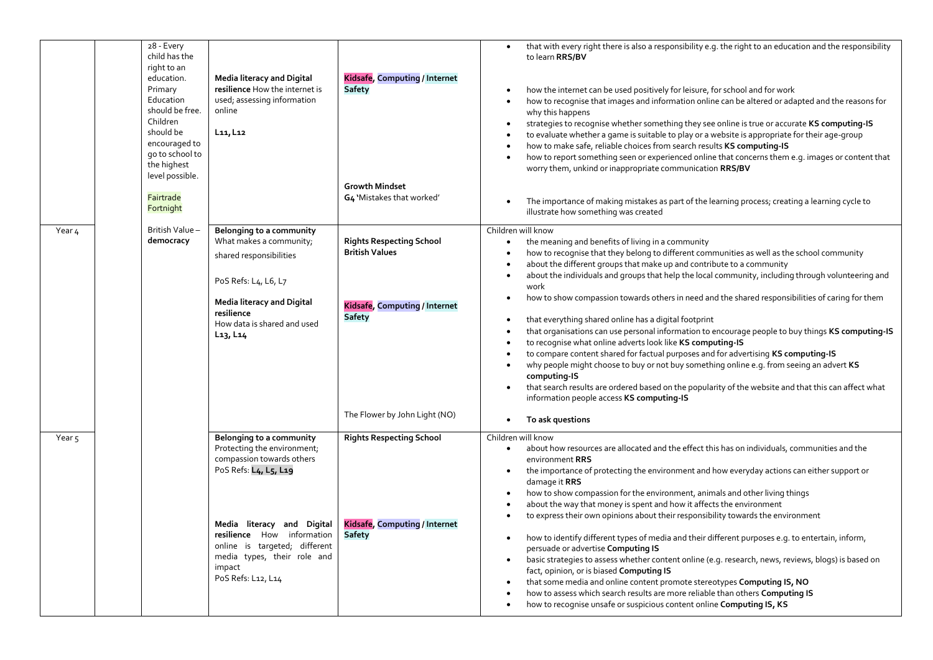|        | 28 - Every<br>child has the<br>right to an<br>education.<br>Primary<br>Education<br>should be free.<br>Children<br>should be<br>encouraged to<br>go to school to<br>the highest<br>level possible. | <b>Media literacy and Digital</b><br>resilience How the internet is<br>used; assessing information<br>online<br>L11, L12                                                                                                                                                  | Kidsafe, Computing / Internet<br><b>Safety</b><br><b>Growth Mindset</b>                                    | that with every right there is also a responsibility e.g. the right to an education and the responsibility<br>to learn RRS/BV<br>how the internet can be used positively for leisure, for school and for work<br>how to recognise that images and information online can be altered or adapted and the reasons for<br>why this happens<br>strategies to recognise whether something they see online is true or accurate KS computing-IS<br>$\bullet$<br>to evaluate whether a game is suitable to play or a website is appropriate for their age-group<br>how to make safe, reliable choices from search results KS computing-IS<br>how to report something seen or experienced online that concerns them e.g. images or content that<br>worry them, unkind or inappropriate communication RRS/BV                                                                                                                                                                                                                                                                                          |
|--------|----------------------------------------------------------------------------------------------------------------------------------------------------------------------------------------------------|---------------------------------------------------------------------------------------------------------------------------------------------------------------------------------------------------------------------------------------------------------------------------|------------------------------------------------------------------------------------------------------------|--------------------------------------------------------------------------------------------------------------------------------------------------------------------------------------------------------------------------------------------------------------------------------------------------------------------------------------------------------------------------------------------------------------------------------------------------------------------------------------------------------------------------------------------------------------------------------------------------------------------------------------------------------------------------------------------------------------------------------------------------------------------------------------------------------------------------------------------------------------------------------------------------------------------------------------------------------------------------------------------------------------------------------------------------------------------------------------------|
|        | Fairtrade<br>Fortnight                                                                                                                                                                             |                                                                                                                                                                                                                                                                           | G4 'Mistakes that worked'                                                                                  | The importance of making mistakes as part of the learning process; creating a learning cycle to<br>illustrate how something was created                                                                                                                                                                                                                                                                                                                                                                                                                                                                                                                                                                                                                                                                                                                                                                                                                                                                                                                                                    |
| Year 4 | British Value-<br>democracy                                                                                                                                                                        | Belonging to a community<br>What makes a community;<br>shared responsibilities<br>PoS Refs: L4, L6, L7<br><b>Media literacy and Digital</b><br>resilience<br>How data is shared and used<br>$L_{13}$ , $L_{14}$                                                           | <b>Rights Respecting School</b><br><b>British Values</b><br>Kidsafe, Computing / Internet<br><b>Safety</b> | Children will know<br>the meaning and benefits of living in a community<br>$\bullet$<br>how to recognise that they belong to different communities as well as the school community<br>about the different groups that make up and contribute to a community<br>about the individuals and groups that help the local community, including through volunteering and<br>$\bullet$<br>work<br>how to show compassion towards others in need and the shared responsibilities of caring for them<br>that everything shared online has a digital footprint<br>that organisations can use personal information to encourage people to buy things KS computing-IS<br>to recognise what online adverts look like KS computing-IS<br>to compare content shared for factual purposes and for advertising KS computing-IS<br>why people might choose to buy or not buy something online e.g. from seeing an advert KS<br>$\bullet$<br>computing-IS<br>that search results are ordered based on the popularity of the website and that this can affect what<br>information people access KS computing-IS |
|        |                                                                                                                                                                                                    |                                                                                                                                                                                                                                                                           | The Flower by John Light (NO)                                                                              | To ask questions<br>$\bullet$                                                                                                                                                                                                                                                                                                                                                                                                                                                                                                                                                                                                                                                                                                                                                                                                                                                                                                                                                                                                                                                              |
| Year 5 |                                                                                                                                                                                                    | Belonging to a community<br>Protecting the environment;<br>compassion towards others<br>PoS Refs: L4, L5, L19<br>Media literacy and Digital<br>resilience How information<br>online is targeted; different<br>media types, their role and<br>impact<br>PoS Refs: L12, L14 | <b>Rights Respecting School</b><br>Kidsafe, Computing / Internet<br><b>Safety</b>                          | Children will know<br>about how resources are allocated and the effect this has on individuals, communities and the<br>$\bullet$<br>environment RRS<br>the importance of protecting the environment and how everyday actions can either support or<br>$\bullet$<br>damage it RRS<br>how to show compassion for the environment, animals and other living things<br>$\bullet$<br>about the way that money is spent and how it affects the environment<br>to express their own opinions about their responsibility towards the environment<br>how to identify different types of media and their different purposes e.g. to entertain, inform,<br>persuade or advertise Computing IS<br>basic strategies to assess whether content online (e.g. research, news, reviews, blogs) is based on<br>$\bullet$<br>fact, opinion, or is biased Computing IS<br>that some media and online content promote stereotypes Computing IS, NO<br>how to assess which search results are more reliable than others Computing IS<br>how to recognise unsafe or suspicious content online Computing IS, KS    |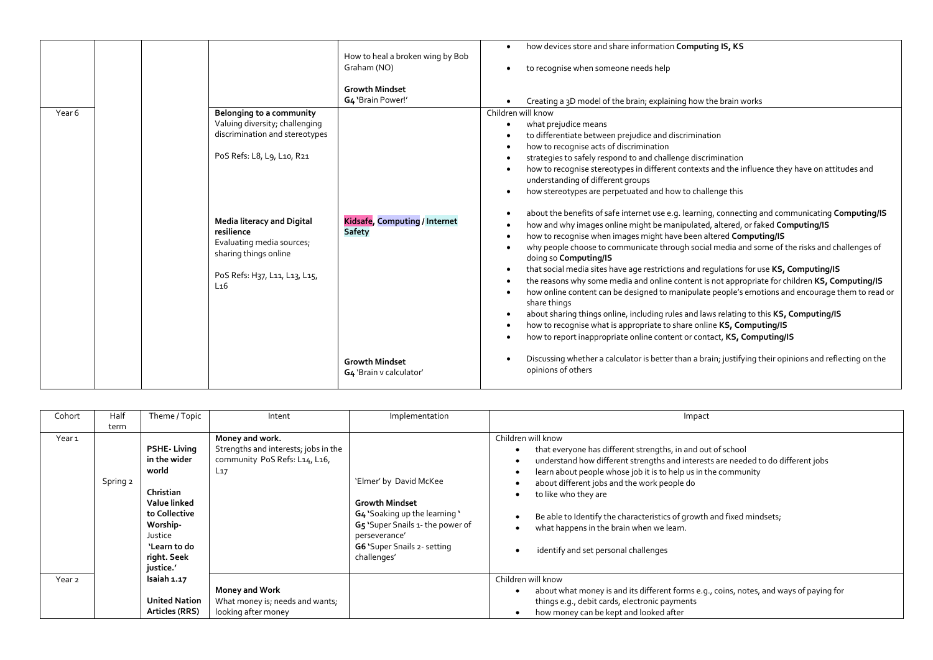|        |  |                                                                                                                                                           |                                                  | how devices store and share information Computing IS, KS                                                                                                                                                                                                                                                                                                                                                                                                                                                                                                                                                                                                                                                                                                                                                                                                                                                                                                      |
|--------|--|-----------------------------------------------------------------------------------------------------------------------------------------------------------|--------------------------------------------------|---------------------------------------------------------------------------------------------------------------------------------------------------------------------------------------------------------------------------------------------------------------------------------------------------------------------------------------------------------------------------------------------------------------------------------------------------------------------------------------------------------------------------------------------------------------------------------------------------------------------------------------------------------------------------------------------------------------------------------------------------------------------------------------------------------------------------------------------------------------------------------------------------------------------------------------------------------------|
|        |  |                                                                                                                                                           | How to heal a broken wing by Bob<br>Graham (NO)  | to recognise when someone needs help                                                                                                                                                                                                                                                                                                                                                                                                                                                                                                                                                                                                                                                                                                                                                                                                                                                                                                                          |
|        |  |                                                                                                                                                           | <b>Growth Mindset</b><br>G4 'Brain Power!'       | Creating a 3D model of the brain; explaining how the brain works                                                                                                                                                                                                                                                                                                                                                                                                                                                                                                                                                                                                                                                                                                                                                                                                                                                                                              |
| Year 6 |  | Belonging to a community                                                                                                                                  |                                                  | Children will know                                                                                                                                                                                                                                                                                                                                                                                                                                                                                                                                                                                                                                                                                                                                                                                                                                                                                                                                            |
|        |  | Valuing diversity; challenging                                                                                                                            |                                                  | what prejudice means                                                                                                                                                                                                                                                                                                                                                                                                                                                                                                                                                                                                                                                                                                                                                                                                                                                                                                                                          |
|        |  | discrimination and stereotypes                                                                                                                            |                                                  | to differentiate between prejudice and discrimination                                                                                                                                                                                                                                                                                                                                                                                                                                                                                                                                                                                                                                                                                                                                                                                                                                                                                                         |
|        |  |                                                                                                                                                           |                                                  | how to recognise acts of discrimination                                                                                                                                                                                                                                                                                                                                                                                                                                                                                                                                                                                                                                                                                                                                                                                                                                                                                                                       |
|        |  | PoS Refs: L8, L9, L10, R21                                                                                                                                |                                                  | strategies to safely respond to and challenge discrimination                                                                                                                                                                                                                                                                                                                                                                                                                                                                                                                                                                                                                                                                                                                                                                                                                                                                                                  |
|        |  |                                                                                                                                                           |                                                  | how to recognise stereotypes in different contexts and the influence they have on attitudes and<br>understanding of different groups                                                                                                                                                                                                                                                                                                                                                                                                                                                                                                                                                                                                                                                                                                                                                                                                                          |
|        |  |                                                                                                                                                           |                                                  | how stereotypes are perpetuated and how to challenge this                                                                                                                                                                                                                                                                                                                                                                                                                                                                                                                                                                                                                                                                                                                                                                                                                                                                                                     |
|        |  | <b>Media literacy and Digital</b><br>resilience<br>Evaluating media sources;<br>sharing things online<br>PoS Refs: H37, L11, L13, L15,<br>L <sub>16</sub> | Kidsafe, Computing / Internet<br><b>Safety</b>   | about the benefits of safe internet use e.g. learning, connecting and communicating Computing/IS<br>how and why images online might be manipulated, altered, or faked Computing/IS<br>how to recognise when images might have been altered Computing/IS<br>why people choose to communicate through social media and some of the risks and challenges of<br>doing so Computing/IS<br>that social media sites have age restrictions and regulations for use KS, Computing/IS<br>the reasons why some media and online content is not appropriate for children KS, Computing/IS<br>$\bullet$<br>how online content can be designed to manipulate people's emotions and encourage them to read or<br>share things<br>about sharing things online, including rules and laws relating to this KS, Computing/IS<br>how to recognise what is appropriate to share online KS, Computing/IS<br>how to report inappropriate online content or contact, KS, Computing/IS |
|        |  |                                                                                                                                                           | <b>Growth Mindset</b><br>G4 'Brain v calculator' | Discussing whether a calculator is better than a brain; justifying their opinions and reflecting on the<br>opinions of others                                                                                                                                                                                                                                                                                                                                                                                                                                                                                                                                                                                                                                                                                                                                                                                                                                 |

| Cohort            | Half     | Theme / Topic                                                                                                                                                | Intent                                                                                               | Implementation                                                                                                                                                                      | Impact                                                                                                                                                                                                                                                                                                                                                                                                                                                                      |
|-------------------|----------|--------------------------------------------------------------------------------------------------------------------------------------------------------------|------------------------------------------------------------------------------------------------------|-------------------------------------------------------------------------------------------------------------------------------------------------------------------------------------|-----------------------------------------------------------------------------------------------------------------------------------------------------------------------------------------------------------------------------------------------------------------------------------------------------------------------------------------------------------------------------------------------------------------------------------------------------------------------------|
|                   | term     |                                                                                                                                                              |                                                                                                      |                                                                                                                                                                                     |                                                                                                                                                                                                                                                                                                                                                                                                                                                                             |
| Year 1            | Spring 2 | <b>PSHE</b> Living<br>in the wider<br>world<br>Christian<br>Value linked<br>to Collective<br>Worship-<br>Justice<br>`Learn to do<br>right. Seek<br>justice.' | Money and work.<br>Strengths and interests; jobs in the<br>community PoS Refs: L14, L16,<br>$L_{17}$ | 'Elmer' by David McKee<br><b>Growth Mindset</b><br>G4 'Soaking up the learning '<br>G5 'Super Snails 1- the power of<br>perseverance'<br>G6 'Super Snails 2- setting<br>challenges' | Children will know<br>that everyone has different strengths, in and out of school<br>understand how different strengths and interests are needed to do different jobs<br>learn about people whose job it is to help us in the community<br>about different jobs and the work people do<br>to like who they are<br>Be able to Identify the characteristics of growth and fixed mindsets;<br>what happens in the brain when we learn.<br>identify and set personal challenges |
| Year <sub>2</sub> |          | Isaiah 1.17                                                                                                                                                  |                                                                                                      |                                                                                                                                                                                     | Children will know                                                                                                                                                                                                                                                                                                                                                                                                                                                          |
|                   |          |                                                                                                                                                              | <b>Money and Work</b>                                                                                |                                                                                                                                                                                     | about what money is and its different forms e.g., coins, notes, and ways of paying for                                                                                                                                                                                                                                                                                                                                                                                      |
|                   |          | <b>United Nation</b>                                                                                                                                         | What money is; needs and wants;                                                                      |                                                                                                                                                                                     | things e.g., debit cards, electronic payments                                                                                                                                                                                                                                                                                                                                                                                                                               |
|                   |          | Articles (RRS)                                                                                                                                               | looking after money                                                                                  |                                                                                                                                                                                     | how money can be kept and looked after                                                                                                                                                                                                                                                                                                                                                                                                                                      |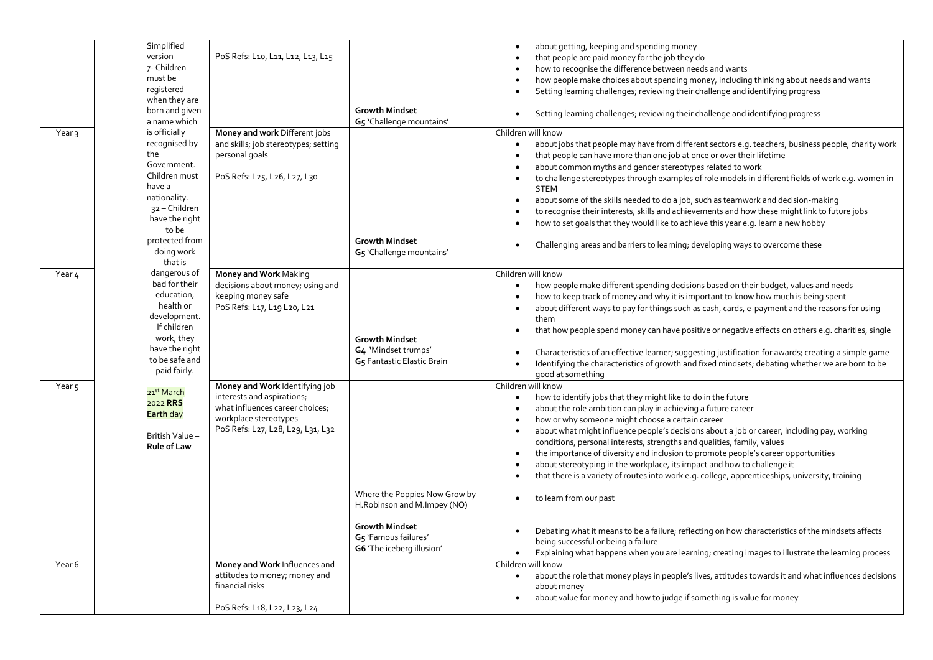|                   | Simplified             |                                      |                               | about getting, keeping and spending money                                                                          |
|-------------------|------------------------|--------------------------------------|-------------------------------|--------------------------------------------------------------------------------------------------------------------|
|                   | version                | PoS Refs: L10, L11, L12, L13, L15    |                               |                                                                                                                    |
|                   | 7- Children            |                                      |                               | that people are paid money for the job they do                                                                     |
|                   |                        |                                      |                               | how to recognise the difference between needs and wants                                                            |
|                   | must be                |                                      |                               | how people make choices about spending money, including thinking about needs and wants                             |
|                   | registered             |                                      |                               | Setting learning challenges; reviewing their challenge and identifying progress                                    |
|                   | when they are          |                                      |                               |                                                                                                                    |
|                   | born and given         |                                      | <b>Growth Mindset</b>         | Setting learning challenges; reviewing their challenge and identifying progress                                    |
|                   | a name which           |                                      | G5 'Challenge mountains'      |                                                                                                                    |
| Year <sub>3</sub> | is officially          | Money and work Different jobs        |                               | Children will know                                                                                                 |
|                   | recognised by          | and skills; job stereotypes; setting |                               | about jobs that people may have from different sectors e.g. teachers, business people, charity work<br>$\bullet$   |
|                   | the                    | personal goals                       |                               | that people can have more than one job at once or over their lifetime                                              |
|                   | Government.            |                                      |                               | about common myths and gender stereotypes related to work                                                          |
|                   | Children must          | PoS Refs: L25, L26, L27, L30         |                               |                                                                                                                    |
|                   | have a                 |                                      |                               | to challenge stereotypes through examples of role models in different fields of work e.g. women in                 |
|                   | nationality.           |                                      |                               | <b>STEM</b>                                                                                                        |
|                   |                        |                                      |                               | about some of the skills needed to do a job, such as teamwork and decision-making                                  |
|                   | 32 - Children          |                                      |                               | to recognise their interests, skills and achievements and how these might link to future jobs                      |
|                   | have the right         |                                      |                               | how to set goals that they would like to achieve this year e.g. learn a new hobby                                  |
|                   | to be                  |                                      |                               |                                                                                                                    |
|                   | protected from         |                                      | <b>Growth Mindset</b>         | Challenging areas and barriers to learning; developing ways to overcome these                                      |
|                   | doing work             |                                      | G5 'Challenge mountains'      |                                                                                                                    |
|                   | that is                |                                      |                               |                                                                                                                    |
| Year 4            | dangerous of           | Money and Work Making                |                               | Children will know                                                                                                 |
|                   | bad for their          | decisions about money; using and     |                               | how people make different spending decisions based on their budget, values and needs                               |
|                   | education,             | keeping money safe                   |                               | how to keep track of money and why it is important to know how much is being spent                                 |
|                   | health or              | PoS Refs: L17, L19 L20, L21          |                               |                                                                                                                    |
|                   | development.           |                                      |                               | about different ways to pay for things such as cash, cards, e-payment and the reasons for using                    |
|                   | If children            |                                      |                               | them                                                                                                               |
|                   |                        |                                      |                               | that how people spend money can have positive or negative effects on others e.g. charities, single                 |
|                   | work, they             |                                      | <b>Growth Mindset</b>         |                                                                                                                    |
|                   | have the right         |                                      | G4 'Mindset trumps'           | Characteristics of an effective learner; suggesting justification for awards; creating a simple game               |
|                   | to be safe and         |                                      | G5 Fantastic Elastic Brain    | Identifying the characteristics of growth and fixed mindsets; debating whether we are born to be                   |
|                   | paid fairly.           |                                      |                               | good at something                                                                                                  |
| Year <sub>5</sub> |                        | Money and Work Identifying job       |                               | Children will know                                                                                                 |
|                   | 21 <sup>st</sup> March | interests and aspirations;           |                               | how to identify jobs that they might like to do in the future                                                      |
|                   | 2022 RRS               | what influences career choices;      |                               |                                                                                                                    |
|                   | <b>Earth day</b>       |                                      |                               | about the role ambition can play in achieving a future career                                                      |
|                   |                        | workplace stereotypes                |                               | how or why someone might choose a certain career                                                                   |
|                   | British Value -        | PoS Refs: L27, L28, L29, L31, L32    |                               | about what might influence people's decisions about a job or career, including pay, working                        |
|                   | <b>Rule of Law</b>     |                                      |                               | conditions, personal interests, strengths and qualities, family, values                                            |
|                   |                        |                                      |                               | the importance of diversity and inclusion to promote people's career opportunities                                 |
|                   |                        |                                      |                               | about stereotyping in the workplace, its impact and how to challenge it                                            |
|                   |                        |                                      |                               | that there is a variety of routes into work e.g. college, apprenticeships, university, training                    |
|                   |                        |                                      |                               |                                                                                                                    |
|                   |                        |                                      | Where the Poppies Now Grow by | to learn from our past                                                                                             |
|                   |                        |                                      | H. Robinson and M. Impey (NO) |                                                                                                                    |
|                   |                        |                                      |                               |                                                                                                                    |
|                   |                        |                                      | <b>Growth Mindset</b>         |                                                                                                                    |
|                   |                        |                                      | G5 'Famous failures'          | Debating what it means to be a failure; reflecting on how characteristics of the mindsets affects                  |
|                   |                        |                                      |                               | being successful or being a failure                                                                                |
|                   |                        |                                      | G6 'The iceberg illusion'     | Explaining what happens when you are learning; creating images to illustrate the learning process<br>$\bullet$     |
| Year 6            |                        | Money and Work Influences and        |                               | Children will know                                                                                                 |
|                   |                        | attitudes to money; money and        |                               | about the role that money plays in people's lives, attitudes towards it and what influences decisions<br>$\bullet$ |
|                   |                        | financial risks                      |                               | about money                                                                                                        |
|                   |                        |                                      |                               | about value for money and how to judge if something is value for money                                             |
|                   |                        |                                      |                               |                                                                                                                    |
|                   |                        | PoS Refs: L18, L22, L23, L24         |                               |                                                                                                                    |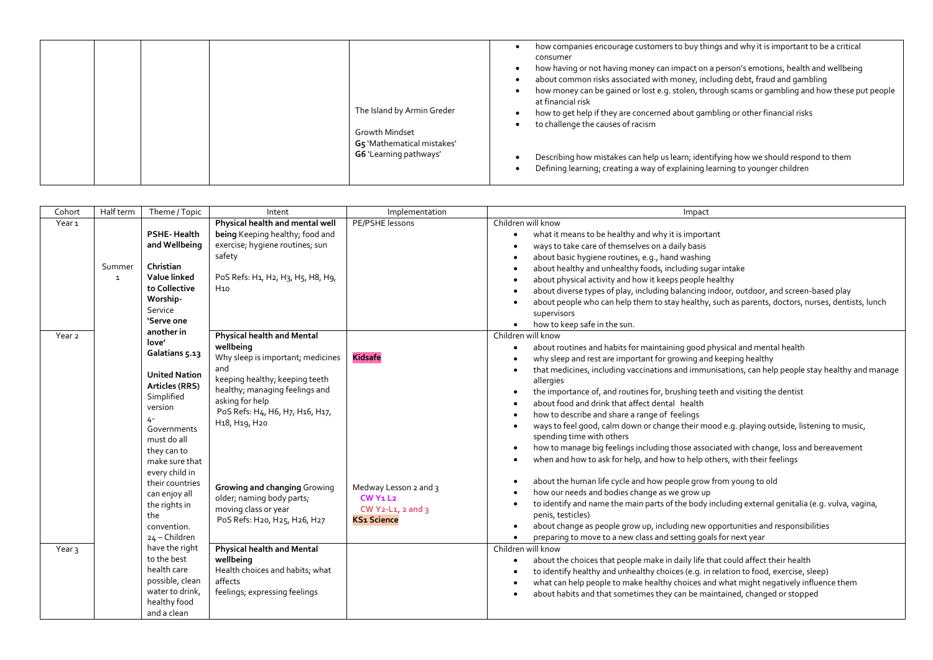|  |  |  |  | The Island by Armin Greder<br>Growth Mindset<br>G5 'Mathematical mistakes'<br>G6 'Learning pathways' | how companies encourage customers to buy things and why it is important to be a critical<br>consumer<br>how having or not having money can impact on a person's emotions, health and wellbeing<br>about common risks associated with money, including debt, fraud and gambling<br>how money can be gained or lost e.g. stolen, through scams or gambling and how these put people<br>at financial risk<br>how to get help if they are concerned about gambling or other financial risks<br>to challenge the causes of racism<br>Describing how mistakes can help us learn; identifying how we should respond to them<br>Defining learning; creating a way of explaining learning to younger children |
|--|--|--|--|------------------------------------------------------------------------------------------------------|------------------------------------------------------------------------------------------------------------------------------------------------------------------------------------------------------------------------------------------------------------------------------------------------------------------------------------------------------------------------------------------------------------------------------------------------------------------------------------------------------------------------------------------------------------------------------------------------------------------------------------------------------------------------------------------------------|
|--|--|--|--|------------------------------------------------------------------------------------------------------|------------------------------------------------------------------------------------------------------------------------------------------------------------------------------------------------------------------------------------------------------------------------------------------------------------------------------------------------------------------------------------------------------------------------------------------------------------------------------------------------------------------------------------------------------------------------------------------------------------------------------------------------------------------------------------------------------|

| Cohort            | Half term    | Theme / Topic                     | Intent                                              | Implementation                     | Impact                                                                                                         |
|-------------------|--------------|-----------------------------------|-----------------------------------------------------|------------------------------------|----------------------------------------------------------------------------------------------------------------|
| Year <sub>1</sub> |              |                                   | Physical health and mental well                     | PE/PSHE lessons                    | Children will know                                                                                             |
|                   |              | <b>PSHE-Health</b>                | being Keeping healthy; food and                     |                                    | what it means to be healthy and why it is important                                                            |
|                   |              | and Wellbeing                     | exercise; hygiene routines; sun                     |                                    | ways to take care of themselves on a daily basis                                                               |
|                   |              |                                   | safety                                              |                                    | about basic hygiene routines, e.g., hand washing                                                               |
|                   | Summer       | Christian                         |                                                     |                                    | about healthy and unhealthy foods, including sugar intake                                                      |
|                   | $\mathbf{1}$ | Value linked                      | PoS Refs: H1, H2, H3, H5, H8, H9,                   |                                    | about physical activity and how it keeps people healthy                                                        |
|                   |              | to Collective                     | H10                                                 |                                    | about diverse types of play, including balancing indoor, outdoor, and screen-based play                        |
|                   |              | Worship-                          |                                                     |                                    | about people who can help them to stay healthy, such as parents, doctors, nurses, dentists, lunch              |
|                   |              | Service                           |                                                     |                                    | supervisors                                                                                                    |
|                   |              | 'Serve one                        |                                                     |                                    | how to keep safe in the sun.<br>$\bullet$                                                                      |
| Year <sub>2</sub> |              | another in                        | <b>Physical health and Mental</b>                   |                                    | Children will know                                                                                             |
|                   |              | love'                             | wellbeing                                           |                                    | about routines and habits for maintaining good physical and mental health<br>$\bullet$                         |
|                   |              | Galatians 5.13                    | Why sleep is important; medicines                   | <b>Kidsafe</b>                     | why sleep and rest are important for growing and keeping healthy                                               |
|                   |              |                                   | and                                                 |                                    | that medicines, including vaccinations and immunisations, can help people stay healthy and manage<br>$\bullet$ |
|                   |              | <b>United Nation</b>              | keeping healthy; keeping teeth                      |                                    | allergies                                                                                                      |
|                   |              | Articles (RRS)                    | healthy; managing feelings and                      |                                    | the importance of, and routines for, brushing teeth and visiting the dentist<br>$\bullet$                      |
|                   |              | Simplified                        | asking for help                                     |                                    | about food and drink that affect dental health                                                                 |
|                   |              | version                           | PoS Refs: H4, H6, H7, H16, H17,                     |                                    | how to describe and share a range of feelings                                                                  |
|                   |              | 4-                                | H <sub>1</sub> 8, H <sub>19</sub> , H <sub>20</sub> |                                    | ways to feel good, calm down or change their mood e.g. playing outside, listening to music,                    |
|                   |              | Governments                       |                                                     |                                    | spending time with others                                                                                      |
|                   |              | must do all                       |                                                     |                                    | how to manage big feelings including those associated with change, loss and bereavement                        |
|                   |              | they can to                       |                                                     |                                    | when and how to ask for help, and how to help others, with their feelings                                      |
|                   |              | make sure that                    |                                                     |                                    |                                                                                                                |
|                   |              | every child in<br>their countries |                                                     |                                    | about the human life cycle and how people grow from young to old                                               |
|                   |              | can enjoy all                     | Growing and changing Growing                        | Medway Lesson 2 and 3              | how our needs and bodies change as we grow up                                                                  |
|                   |              | the rights in                     | older; naming body parts;                           | $CW$ $Y_1$ $L_2$                   | to identify and name the main parts of the body including external genitalia (e.g. vulva, vagina,              |
|                   |              | the                               | moving class or year                                | CW $Y_2$ -L <sub>1</sub> , 2 and 3 | penis, testicles)                                                                                              |
|                   |              | convention.                       | PoS Refs: H20, H25, H26, H27                        | <b>KS1 Science</b>                 | about change as people grow up, including new opportunities and responsibilities                               |
|                   |              | 24 - Children                     |                                                     |                                    | preparing to move to a new class and setting goals for next year                                               |
| Year <sub>3</sub> |              | have the right                    | <b>Physical health and Mental</b>                   |                                    | Children will know                                                                                             |
|                   |              | to the best                       | wellbeing                                           |                                    | about the choices that people make in daily life that could affect their health<br>$\bullet$                   |
|                   |              | health care                       | Health choices and habits; what                     |                                    | to identify healthy and unhealthy choices (e.g. in relation to food, exercise, sleep)                          |
|                   |              | possible, clean                   | affects                                             |                                    | what can help people to make healthy choices and what might negatively influence them                          |
|                   |              | water to drink,                   | feelings; expressing feelings                       |                                    |                                                                                                                |
|                   |              | healthy food                      |                                                     |                                    | about habits and that sometimes they can be maintained, changed or stopped                                     |
|                   |              | and a clean                       |                                                     |                                    |                                                                                                                |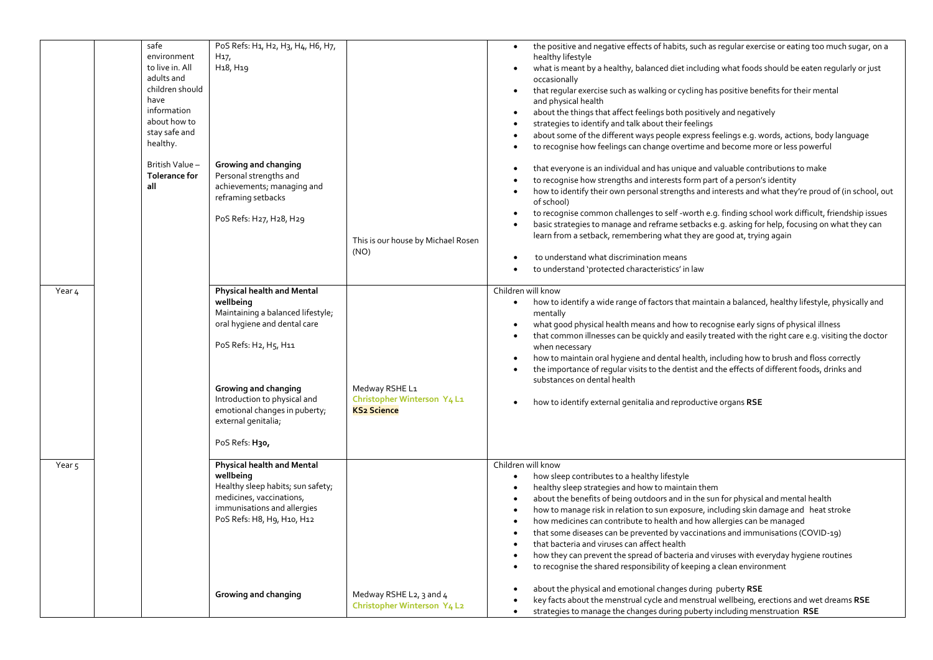| Year 4            | safe<br>environment<br>to live in. All<br>adults and<br>children should<br>have<br>information<br>about how to<br>stay safe and<br>healthy.<br>British Value-<br><b>Tolerance for</b><br>all | PoS Refs: H1, H2, H3, H4, H6, H7,<br>H <sub>17</sub><br>H <sub>1</sub> 8, H <sub>19</sub><br>Growing and changing<br>Personal strengths and<br>achievements; managing and<br>reframing setbacks<br>PoS Refs: H27, H28, H29<br>Physical health and Mental<br>wellbeing<br>Maintaining a balanced lifestyle;<br>oral hygiene and dental care<br>PoS Refs: H2, H5, H11<br>Growing and changing<br>Introduction to physical and<br>emotional changes in puberty;<br>external genitalia;<br>PoS Refs: H30, | This is our house by Michael Rosen<br>(NO)<br>Medway RSHE L1<br>Christopher Winterson Y4 L1<br><b>KS2 Science</b> | the positive and negative effects of habits, such as regular exercise or eating too much sugar, on a<br>healthy lifestyle<br>what is meant by a healthy, balanced diet including what foods should be eaten regularly or just<br>$\bullet$<br>occasionally<br>that regular exercise such as walking or cycling has positive benefits for their mental<br>$\bullet$<br>and physical health<br>about the things that affect feelings both positively and negatively<br>strategies to identify and talk about their feelings<br>about some of the different ways people express feelings e.g. words, actions, body language<br>to recognise how feelings can change overtime and become more or less powerful<br>that everyone is an individual and has unique and valuable contributions to make<br>to recognise how strengths and interests form part of a person's identity<br>how to identify their own personal strengths and interests and what they're proud of (in school, out<br>$\bullet$<br>of school)<br>to recognise common challenges to self -worth e.g. finding school work difficult, friendship issues<br>$\bullet$<br>basic strategies to manage and reframe setbacks e.g. asking for help, focusing on what they can<br>learn from a setback, remembering what they are good at, trying again<br>to understand what discrimination means<br>to understand 'protected characteristics' in law<br>$\bullet$<br>Children will know<br>how to identify a wide range of factors that maintain a balanced, healthy lifestyle, physically and<br>$\bullet$<br>mentally<br>what good physical health means and how to recognise early signs of physical illness<br>that common illnesses can be quickly and easily treated with the right care e.g. visiting the doctor<br>when necessary<br>how to maintain oral hygiene and dental health, including how to brush and floss correctly<br>the importance of regular visits to the dentist and the effects of different foods, drinks and<br>substances on dental health<br>how to identify external genitalia and reproductive organs RSE |
|-------------------|----------------------------------------------------------------------------------------------------------------------------------------------------------------------------------------------|-------------------------------------------------------------------------------------------------------------------------------------------------------------------------------------------------------------------------------------------------------------------------------------------------------------------------------------------------------------------------------------------------------------------------------------------------------------------------------------------------------|-------------------------------------------------------------------------------------------------------------------|-----------------------------------------------------------------------------------------------------------------------------------------------------------------------------------------------------------------------------------------------------------------------------------------------------------------------------------------------------------------------------------------------------------------------------------------------------------------------------------------------------------------------------------------------------------------------------------------------------------------------------------------------------------------------------------------------------------------------------------------------------------------------------------------------------------------------------------------------------------------------------------------------------------------------------------------------------------------------------------------------------------------------------------------------------------------------------------------------------------------------------------------------------------------------------------------------------------------------------------------------------------------------------------------------------------------------------------------------------------------------------------------------------------------------------------------------------------------------------------------------------------------------------------------------------------------------------------------------------------------------------------------------------------------------------------------------------------------------------------------------------------------------------------------------------------------------------------------------------------------------------------------------------------------------------------------------------------------------------------------------------------------------------------------------------------------------------------------------------|
| Year <sub>5</sub> |                                                                                                                                                                                              | Physical health and Mental<br>wellbeing<br>Healthy sleep habits; sun safety;<br>medicines, vaccinations,<br>immunisations and allergies<br>PoS Refs: H8, H9, H10, H12<br>Growing and changing                                                                                                                                                                                                                                                                                                         | Medway RSHE L2, 3 and 4<br>Christopher Winterson Y4 L2                                                            | Children will know<br>how sleep contributes to a healthy lifestyle<br>healthy sleep strategies and how to maintain them<br>about the benefits of being outdoors and in the sun for physical and mental health<br>$\bullet$<br>how to manage risk in relation to sun exposure, including skin damage and heat stroke<br>how medicines can contribute to health and how allergies can be managed<br>that some diseases can be prevented by vaccinations and immunisations (COVID-19)<br>$\bullet$<br>that bacteria and viruses can affect health<br>$\bullet$<br>how they can prevent the spread of bacteria and viruses with everyday hygiene routines<br>to recognise the shared responsibility of keeping a clean environment<br>about the physical and emotional changes during puberty RSE<br>key facts about the menstrual cycle and menstrual wellbeing, erections and wet dreams RSE                                                                                                                                                                                                                                                                                                                                                                                                                                                                                                                                                                                                                                                                                                                                                                                                                                                                                                                                                                                                                                                                                                                                                                                                          |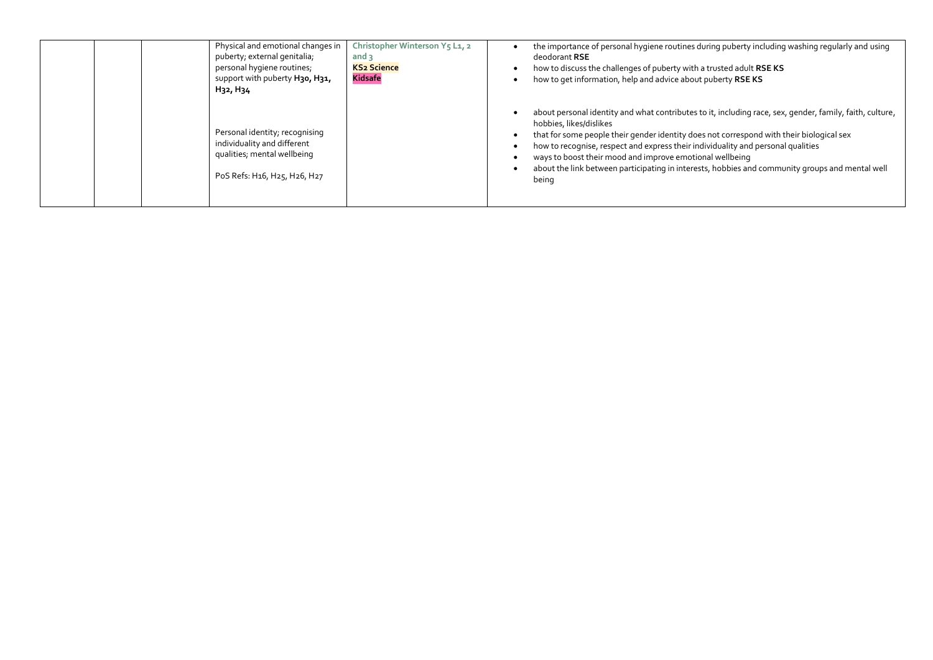| Physical and emotional changes in<br>puberty; external genitalia;<br>personal hygiene routines;<br>support with puberty H30, H31,<br>H <sub>32</sub> , H <sub>34</sub> | Christopher Winterson Y5 L1, 2<br>and $\alpha$<br><b>KS2 Science</b><br><b>Kidsafe</b> | the importance of personal hygiene routines during puberty including washing regularly and using<br>deodorant RSE<br>how to discuss the challenges of puberty with a trusted adult RSE KS<br>how to get information, help and advice about puberty RSE KS                                                                                                                                                                                                                                   |
|------------------------------------------------------------------------------------------------------------------------------------------------------------------------|----------------------------------------------------------------------------------------|---------------------------------------------------------------------------------------------------------------------------------------------------------------------------------------------------------------------------------------------------------------------------------------------------------------------------------------------------------------------------------------------------------------------------------------------------------------------------------------------|
| Personal identity; recognising<br>individuality and different<br>qualities; mental wellbeing<br>PoS Refs: H16, H25, H26, H27                                           |                                                                                        | about personal identity and what contributes to it, including race, sex, gender, family, faith, culture,<br>hobbies, likes/dislikes<br>that for some people their gender identity does not correspond with their biological sex<br>how to recognise, respect and express their individuality and personal qualities<br>ways to boost their mood and improve emotional wellbeing<br>about the link between participating in interests, hobbies and community groups and mental well<br>being |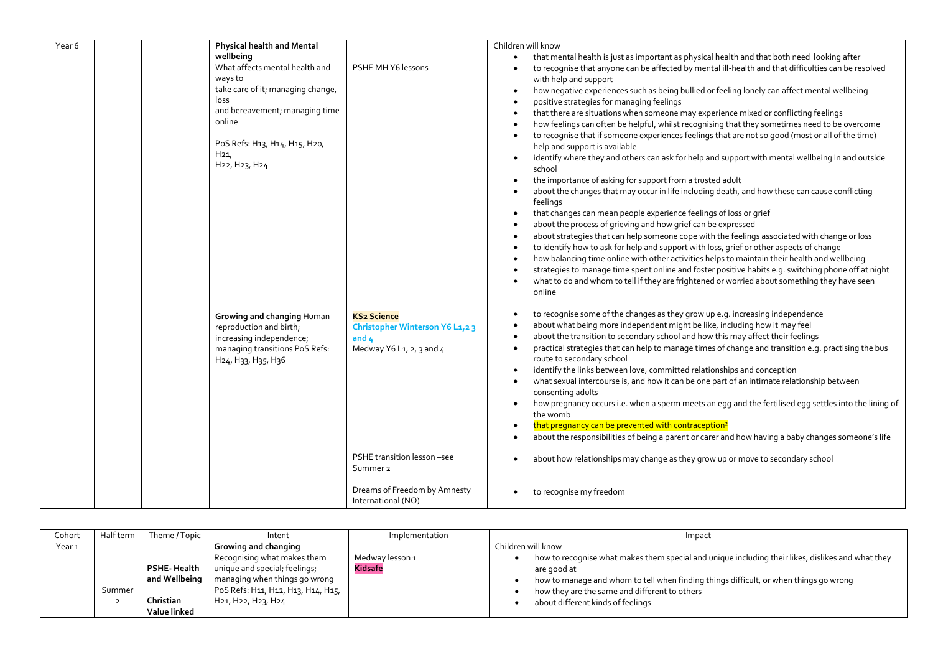| Year 6 | <b>Physical health and Mental</b>                                                                                                                                                                                    |                                                                                              | Children will know                                                                                                                                                                                                                                                                                                                                                                                                                                                                                                                                                                                                                                                                                                                                                                                                                                                                                                                                                                                                                                                                                                                                                                                                                                                                                                              |
|--------|----------------------------------------------------------------------------------------------------------------------------------------------------------------------------------------------------------------------|----------------------------------------------------------------------------------------------|---------------------------------------------------------------------------------------------------------------------------------------------------------------------------------------------------------------------------------------------------------------------------------------------------------------------------------------------------------------------------------------------------------------------------------------------------------------------------------------------------------------------------------------------------------------------------------------------------------------------------------------------------------------------------------------------------------------------------------------------------------------------------------------------------------------------------------------------------------------------------------------------------------------------------------------------------------------------------------------------------------------------------------------------------------------------------------------------------------------------------------------------------------------------------------------------------------------------------------------------------------------------------------------------------------------------------------|
|        | wellbeing<br>What affects mental health and<br>ways to<br>take care of it; managing change,<br>loss<br>and bereavement; managing time<br>online<br>PoS Refs: H13, H14, H15, H20,<br>H <sub>21</sub><br>H22, H23, H24 | PSHE MH Y6 lessons                                                                           | that mental health is just as important as physical health and that both need looking after<br>to recognise that anyone can be affected by mental ill-health and that difficulties can be resolved<br>with help and support<br>how negative experiences such as being bullied or feeling lonely can affect mental wellbeing<br>positive strategies for managing feelings<br>that there are situations when someone may experience mixed or conflicting feelings<br>how feelings can often be helpful, whilst recognising that they sometimes need to be overcome<br>to recognise that if someone experiences feelings that are not so good (most or all of the time) -<br>help and support is available<br>identify where they and others can ask for help and support with mental wellbeing in and outside<br>school<br>the importance of asking for support from a trusted adult<br>about the changes that may occur in life including death, and how these can cause conflicting<br>feelings<br>that changes can mean people experience feelings of loss or grief<br>about the process of grieving and how grief can be expressed<br>about strategies that can help someone cope with the feelings associated with change or loss<br>to identify how to ask for help and support with loss, grief or other aspects of change |
|        | Growing and changing Human<br>reproduction and birth;<br>increasing independence;<br>managing transitions PoS Refs:<br>H <sub>24</sub> , H <sub>33</sub> , H <sub>35</sub> , H <sub>3</sub> 6                        | <b>KS2 Science</b><br>Christopher Winterson Y6 L1,2 3<br>and $4$<br>Medway Y6 L1, 2, 3 and 4 | how balancing time online with other activities helps to maintain their health and wellbeing<br>strategies to manage time spent online and foster positive habits e.g. switching phone off at night<br>what to do and whom to tell if they are frightened or worried about something they have seen<br>online<br>to recognise some of the changes as they grow up e.g. increasing independence<br>about what being more independent might be like, including how it may feel<br>about the transition to secondary school and how this may affect their feelings<br>$\bullet$<br>practical strategies that can help to manage times of change and transition e.g. practising the bus<br>route to secondary school<br>identify the links between love, committed relationships and conception<br>what sexual intercourse is, and how it can be one part of an intimate relationship between<br>consenting adults                                                                                                                                                                                                                                                                                                                                                                                                                  |
|        |                                                                                                                                                                                                                      |                                                                                              | how pregnancy occurs i.e. when a sperm meets an egg and the fertilised egg settles into the lining of<br>the womb<br>that pregnancy can be prevented with contraception <sup>2</sup><br>about the responsibilities of being a parent or carer and how having a baby changes someone's life<br>$\bullet$                                                                                                                                                                                                                                                                                                                                                                                                                                                                                                                                                                                                                                                                                                                                                                                                                                                                                                                                                                                                                         |
|        |                                                                                                                                                                                                                      | PSHE transition lesson -see<br>Summer <sub>2</sub>                                           | about how relationships may change as they grow up or move to secondary school                                                                                                                                                                                                                                                                                                                                                                                                                                                                                                                                                                                                                                                                                                                                                                                                                                                                                                                                                                                                                                                                                                                                                                                                                                                  |
|        |                                                                                                                                                                                                                      | Dreams of Freedom by Amnesty<br>International (NO)                                           | to recognise my freedom                                                                                                                                                                                                                                                                                                                                                                                                                                                                                                                                                                                                                                                                                                                                                                                                                                                                                                                                                                                                                                                                                                                                                                                                                                                                                                         |

| Cohort | Half term | Theme / Topic                                             | Intent                                                                                                                                                                            | Implementation                    | Impact                                                                                                                                                                                                                                                                                                                |
|--------|-----------|-----------------------------------------------------------|-----------------------------------------------------------------------------------------------------------------------------------------------------------------------------------|-----------------------------------|-----------------------------------------------------------------------------------------------------------------------------------------------------------------------------------------------------------------------------------------------------------------------------------------------------------------------|
| Year 1 | Summer    | PSHE-Health<br>and Wellbeing<br>Christian<br>Value linked | Growing and changing<br>Recognising what makes them<br>unique and special; feelings;<br>managing when things go wrong<br>PoS Refs: H11, H12, H13, H14, H15,<br>H21, H22, H23, H24 | Medway lesson 1<br><b>Kidsafe</b> | Children will know<br>how to recognise what makes them special and unique including their likes, dislikes and what they<br>are good at<br>how to manage and whom to tell when finding things difficult, or when things go wrong<br>how they are the same and different to others<br>about different kinds of feelings |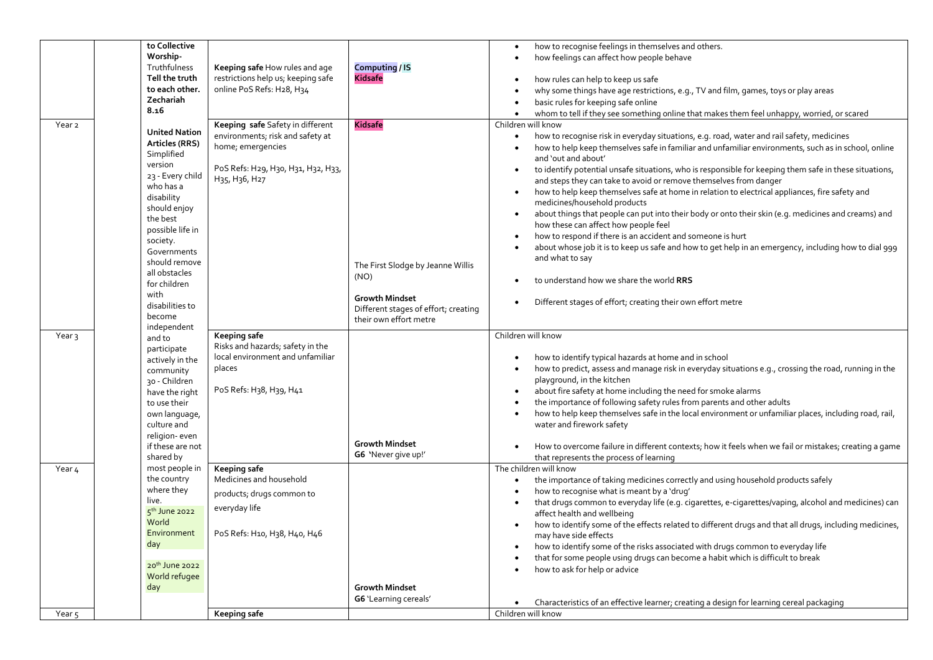|                   | to Collective              |                                                     |                                      | how to recognise feelings in themselves and others.                                                                              |
|-------------------|----------------------------|-----------------------------------------------------|--------------------------------------|----------------------------------------------------------------------------------------------------------------------------------|
|                   | Worship-                   |                                                     |                                      | how feelings can affect how people behave<br>$\bullet$                                                                           |
|                   | Truthfulness               | Keeping safe How rules and age                      | <b>Computing / IS</b>                |                                                                                                                                  |
|                   | Tell the truth             | restrictions help us; keeping safe                  | <b>Kidsafe</b>                       | how rules can help to keep us safe                                                                                               |
|                   | to each other.             | online PoS Refs: H28, H34                           |                                      |                                                                                                                                  |
|                   | Zechariah                  |                                                     |                                      | why some things have age restrictions, e.g., TV and film, games, toys or play areas                                              |
|                   | 8.16                       |                                                     |                                      | basic rules for keeping safe online                                                                                              |
|                   |                            |                                                     |                                      | whom to tell if they see something online that makes them feel unhappy, worried, or scared<br>$\bullet$                          |
| Year <sub>2</sub> |                            | Keeping safe Safety in different                    | <b>Kidsafe</b>                       | Children will know                                                                                                               |
|                   | <b>United Nation</b>       | environments; risk and safety at                    |                                      | how to recognise risk in everyday situations, e.g. road, water and rail safety, medicines<br>$\bullet$                           |
|                   | Articles (RRS)             | home; emergencies                                   |                                      | how to help keep themselves safe in familiar and unfamiliar environments, such as in school, online                              |
|                   | Simplified                 |                                                     |                                      | and 'out and about'                                                                                                              |
|                   | version                    | PoS Refs: H29, H30, H31, H32, H33,                  |                                      | to identify potential unsafe situations, who is responsible for keeping them safe in these situations,<br>$\bullet$              |
|                   | 23 - Every child           | H <sub>35</sub> , H <sub>3</sub> 6, H <sub>27</sub> |                                      | and steps they can take to avoid or remove themselves from danger                                                                |
|                   | who has a                  |                                                     |                                      | how to help keep themselves safe at home in relation to electrical appliances, fire safety and<br>$\bullet$                      |
|                   | disability                 |                                                     |                                      |                                                                                                                                  |
|                   | should enjoy               |                                                     |                                      | medicines/household products                                                                                                     |
|                   | the best                   |                                                     |                                      | about things that people can put into their body or onto their skin (e.g. medicines and creams) and<br>$\bullet$                 |
|                   | possible life in           |                                                     |                                      | how these can affect how people feel                                                                                             |
|                   | society.                   |                                                     |                                      | how to respond if there is an accident and someone is hurt<br>$\bullet$                                                          |
|                   | Governments                |                                                     |                                      | about whose job it is to keep us safe and how to get help in an emergency, including how to dial 999                             |
|                   | should remove              |                                                     |                                      | and what to say                                                                                                                  |
|                   | all obstacles              |                                                     | The First Slodge by Jeanne Willis    |                                                                                                                                  |
|                   | for children               |                                                     | (NO)                                 | to understand how we share the world RRS                                                                                         |
|                   | with                       |                                                     |                                      |                                                                                                                                  |
|                   | disabilities to            |                                                     | <b>Growth Mindset</b>                | Different stages of effort; creating their own effort metre                                                                      |
|                   |                            |                                                     | Different stages of effort; creating |                                                                                                                                  |
|                   | become                     |                                                     | their own effort metre               |                                                                                                                                  |
|                   |                            |                                                     |                                      |                                                                                                                                  |
|                   | independent                |                                                     |                                      |                                                                                                                                  |
| Year 3            | and to                     | <b>Keeping safe</b>                                 |                                      | Children will know                                                                                                               |
|                   | participate                | Risks and hazards; safety in the                    |                                      |                                                                                                                                  |
|                   | actively in the            | local environment and unfamiliar                    |                                      | how to identify typical hazards at home and in school                                                                            |
|                   | community                  | places                                              |                                      | how to predict, assess and manage risk in everyday situations e.g., crossing the road, running in the<br>$\bullet$               |
|                   | 30 - Children              |                                                     |                                      | playground, in the kitchen                                                                                                       |
|                   | have the right             | PoS Refs: H38, H39, H41                             |                                      | about fire safety at home including the need for smoke alarms<br>$\bullet$                                                       |
|                   | to use their               |                                                     |                                      | the importance of following safety rules from parents and other adults                                                           |
|                   | own language,              |                                                     |                                      | how to help keep themselves safe in the local environment or unfamiliar places, including road, rail,                            |
|                   | culture and                |                                                     |                                      | water and firework safety                                                                                                        |
|                   | religion-even              |                                                     |                                      |                                                                                                                                  |
|                   | if these are not           |                                                     | <b>Growth Mindset</b>                | How to overcome failure in different contexts; how it feels when we fail or mistakes; creating a game                            |
|                   | shared by                  |                                                     | G6 'Never give up!'                  | that represents the process of learning                                                                                          |
| Year 4            | most people in             | Keeping safe                                        |                                      | The children will know                                                                                                           |
|                   | the country                | Medicines and household                             |                                      | the importance of taking medicines correctly and using household products safely<br>$\bullet$                                    |
|                   | where they                 |                                                     |                                      | how to recognise what is meant by a 'drug'                                                                                       |
|                   | live.                      | products; drugs common to                           |                                      |                                                                                                                                  |
|                   | $5th$ June 2022            | everyday life                                       |                                      | that drugs common to everyday life (e.g. cigarettes, e-cigarettes/vaping, alcohol and medicines) can                             |
|                   | World                      |                                                     |                                      | affect health and wellbeing                                                                                                      |
|                   | Environment                | PoS Refs: H10, H38, H40, H46                        |                                      | how to identify some of the effects related to different drugs and that all drugs, including medicines,<br>may have side effects |
|                   | day                        |                                                     |                                      |                                                                                                                                  |
|                   |                            |                                                     |                                      | how to identify some of the risks associated with drugs common to everyday life                                                  |
|                   | 20 <sup>th</sup> June 2022 |                                                     |                                      | that for some people using drugs can become a habit which is difficult to break                                                  |
|                   | World refugee              |                                                     |                                      | how to ask for help or advice<br>$\bullet$                                                                                       |
|                   | day                        |                                                     | <b>Growth Mindset</b>                |                                                                                                                                  |
|                   |                            |                                                     | G6 'Learning cereals'                |                                                                                                                                  |
| Year <sub>5</sub> |                            | Keeping safe                                        |                                      | Characteristics of an effective learner; creating a design for learning cereal packaging<br>Children will know                   |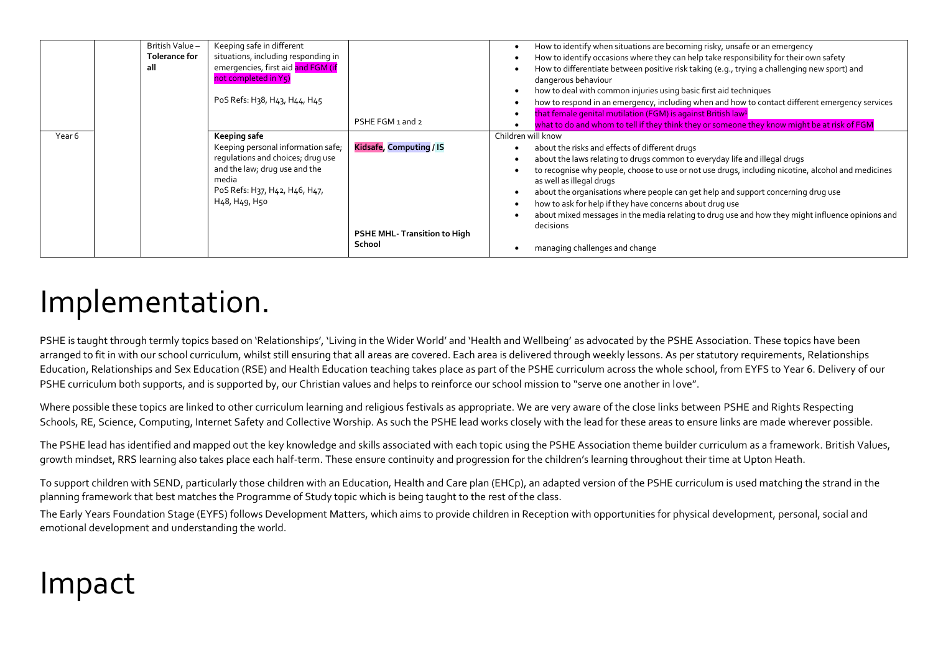|        | British Value-<br><b>Tolerance for</b><br>all | Keeping safe in different<br>situations, including responding in<br>emergencies, first aid and FGM (if<br>not completed in Y5)<br>PoS Refs: H38, H43, H44, H45      |                                                         | How to identify when situations are becoming risky, unsafe or an emergency<br>How to identify occasions where they can help take responsibility for their own safety<br>How to differentiate between positive risk taking (e.g., trying a challenging new sport) and<br>dangerous behaviour<br>how to deal with common injuries using basic first aid techniques<br>how to respond in an emergency, including when and how to contact different emergency services                                                               |
|--------|-----------------------------------------------|---------------------------------------------------------------------------------------------------------------------------------------------------------------------|---------------------------------------------------------|----------------------------------------------------------------------------------------------------------------------------------------------------------------------------------------------------------------------------------------------------------------------------------------------------------------------------------------------------------------------------------------------------------------------------------------------------------------------------------------------------------------------------------|
|        |                                               |                                                                                                                                                                     | PSHE FGM 1 and 2                                        | that female genital mutilation (FGM) is against British law <sup>1</sup><br>what to do and whom to tell if they think they or someone they know might be at risk of FGM                                                                                                                                                                                                                                                                                                                                                          |
| Year 6 |                                               | Keeping safe                                                                                                                                                        |                                                         | Children will know                                                                                                                                                                                                                                                                                                                                                                                                                                                                                                               |
|        |                                               | Keeping personal information safe;<br>regulations and choices; drug use<br>and the law; drug use and the<br>media<br>PoS Refs: H37, H42, H46, H47,<br>H48, H49, H50 | Kidsafe, Computing / IS<br>PSHE MHL- Transition to High | about the risks and effects of different drugs<br>about the laws relating to drugs common to everyday life and illegal drugs<br>to recognise why people, choose to use or not use drugs, including nicotine, alcohol and medicines<br>as well as illegal drugs<br>about the organisations where people can get help and support concerning drug use<br>how to ask for help if they have concerns about drug use<br>about mixed messages in the media relating to drug use and how they might influence opinions and<br>decisions |
|        |                                               |                                                                                                                                                                     | School                                                  | managing challenges and change                                                                                                                                                                                                                                                                                                                                                                                                                                                                                                   |

## Implementation.

PSHE is taught through termly topics based on 'Relationships', 'Living in the Wider World' and 'Health and Wellbeing' as advocated by the PSHE Association. These topics have been arranged to fit in with our school curriculum, whilst still ensuring that all areas are covered. Each area is delivered through weekly lessons. As per statutory requirements, Relationships Education, Relationships and Sex Education (RSE) and Health Education teaching takes place as part of the PSHE curriculum across the whole school, from EYFS to Year 6. Delivery of our PSHE curriculum both supports, and is supported by, our Christian values and helps to reinforce our school mission to "serve one another in love".

Where possible these topics are linked to other curriculum learning and religious festivals as appropriate. We are very aware of the close links between PSHE and Rights Respecting Schools, RE, Science, Computing, Internet Safety and Collective Worship. As such the PSHE lead works closely with the lead for these areas to ensure links are made wherever possible.

The PSHE lead has identified and mapped out the key knowledge and skills associated with each topic using the PSHE Association theme builder curriculum as a framework. British Values, growth mindset, RRS learning also takes place each half-term. These ensure continuity and progression for the children's learning throughout their time at Upton Heath.

To support children with SEND, particularly those children with an Education, Health and Care plan (EHCp), an adapted version of the PSHE curriculum is used matching the strand in the planning framework that best matches the Programme of Study topic which is being taught to the rest of the class.

The Early Years Foundation Stage (EYFS) follows Development Matters, which aims to provide children in Reception with opportunities for physical development, personal, social and emotional development and understanding the world.

# Impact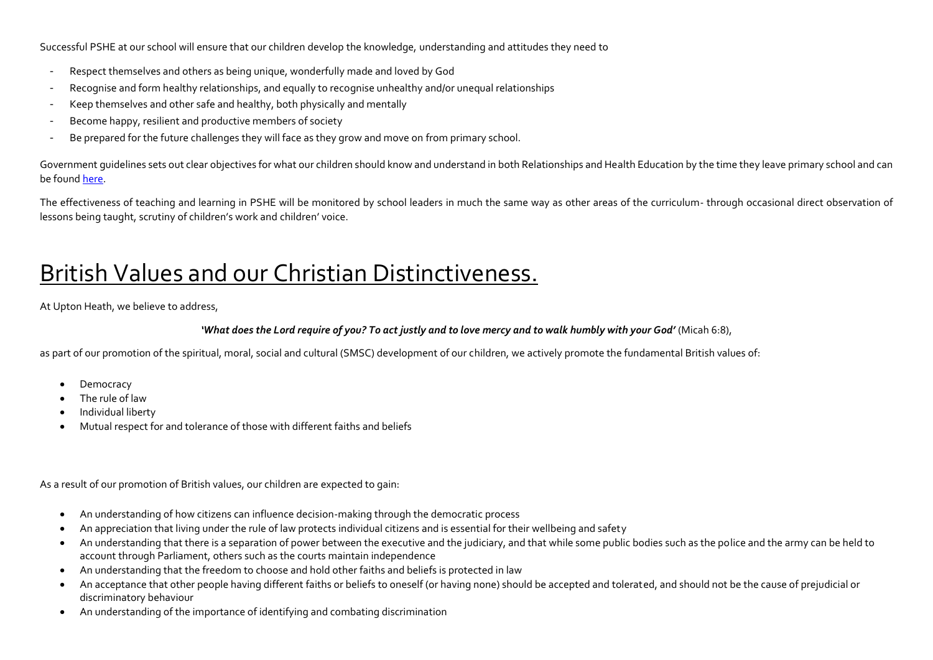Successful PSHE at our school will ensure that our children develop the knowledge, understanding and attitudes they need to

- Respect themselves and others as being unique, wonderfully made and loved by God
- Recognise and form healthy relationships, and equally to recognise unhealthy and/or unequal relationships
- Keep themselves and other safe and healthy, both physically and mentally
- Become happy, resilient and productive members of society
- Be prepared for the future challenges they will face as they grow and move on from primary school.

Government guidelines sets out clear objectives for what our children should know and understand in both Relationships and Health Education by the time they leave primary school and can be foun[d here.](https://assets.publishing.service.gov.uk/government/uploads/system/uploads/attachment_data/file/908013/Relationships_Education__Relationships_and_Sex_Education__RSE__and_Health_Education.pdf)

The effectiveness of teaching and learning in PSHE will be monitored by school leaders in much the same way as other areas of the curriculum- through occasional direct observation of lessons being taught, scrutiny of children's work and children' voice.

### British Values and our Christian Distinctiveness.

At Upton Heath, we believe to address,

#### *'What does the Lord require of you? To act justly and to love mercy and to walk humbly with your God'* (Micah 6:8),

as part of our promotion of the spiritual, moral, social and cultural (SMSC) development of our children, we actively promote the fundamental British values of:

- Democracy
- The rule of law
- Individual liberty
- Mutual respect for and tolerance of those with different faiths and beliefs

As a result of our promotion of British values, our children are expected to gain:

- An understanding of how citizens can influence decision-making through the democratic process
- An appreciation that living under the rule of law protects individual citizens and is essential for their wellbeing and safety
- An understanding that there is a separation of power between the executive and the judiciary, and that while some public bodies such as the police and the army can be held to account through Parliament, others such as the courts maintain independence
- An understanding that the freedom to choose and hold other faiths and beliefs is protected in law
- An acceptance that other people having different faiths or beliefs to oneself (or having none) should be accepted and tolerated, and should not be the cause of prejudicial or discriminatory behaviour
- An understanding of the importance of identifying and combating discrimination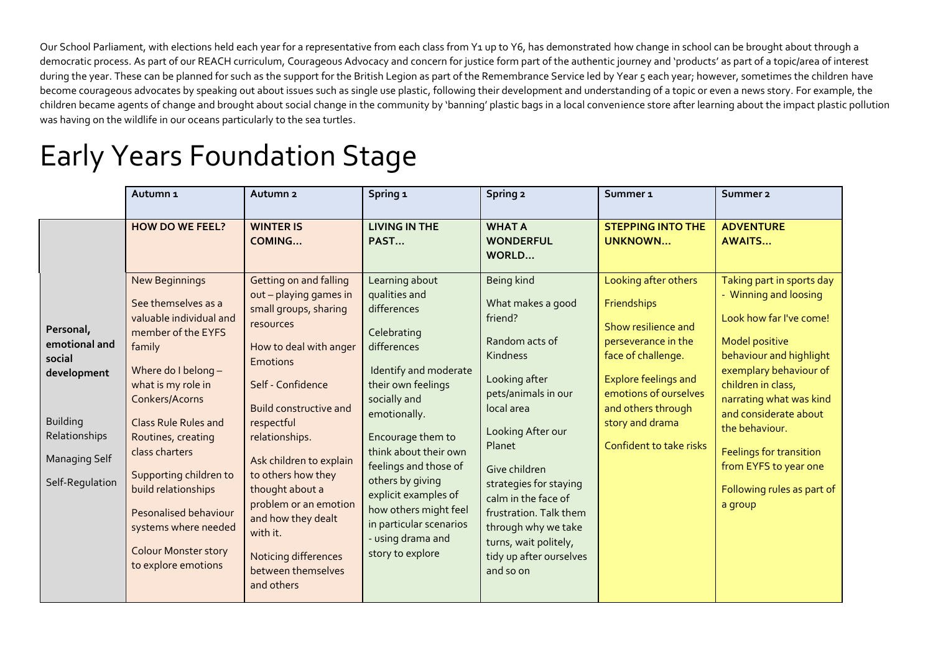Our School Parliament, with elections held each year for a representative from each class from Y1 up to Y6, has demonstrated how change in school can be brought about through a democratic process. As part of our REACH curriculum, Courageous Advocacy and concern for justice form part of the authentic journey and 'products' as part of a topic/area of interest during the year. These can be planned for such as the support for the British Legion as part of the Remembrance Service led by Year 5 each year; however, sometimes the children have become courageous advocates by speaking out about issues such as single use plastic, following their development and understanding of a topic or even a news story. For example, the children became agents of change and brought about social change in the community by 'banning' plastic bags in a local convenience store after learning about the impact plastic pollution was having on the wildlife in our oceans particularly to the sea turtles.

### Early Years Foundation Stage

|                                                                                                                                    | Autumn <sub>1</sub>                                                                                                                                                                                                                                                                                                                                                                                          | Autumn <sub>2</sub>                                                                                                                                                                                                                                                                                                                                                                                                  | Spring <sub>1</sub>                                                                                                                                                                                                                                                                                                                                                         | Spring 2                                                                                                                                                                                                                                                                                                                                          | Summer <sub>1</sub>                                                                                                                                                                                                                 | Summer <sub>2</sub>                                                                                                                                                                                                                                                                                                                                  |
|------------------------------------------------------------------------------------------------------------------------------------|--------------------------------------------------------------------------------------------------------------------------------------------------------------------------------------------------------------------------------------------------------------------------------------------------------------------------------------------------------------------------------------------------------------|----------------------------------------------------------------------------------------------------------------------------------------------------------------------------------------------------------------------------------------------------------------------------------------------------------------------------------------------------------------------------------------------------------------------|-----------------------------------------------------------------------------------------------------------------------------------------------------------------------------------------------------------------------------------------------------------------------------------------------------------------------------------------------------------------------------|---------------------------------------------------------------------------------------------------------------------------------------------------------------------------------------------------------------------------------------------------------------------------------------------------------------------------------------------------|-------------------------------------------------------------------------------------------------------------------------------------------------------------------------------------------------------------------------------------|------------------------------------------------------------------------------------------------------------------------------------------------------------------------------------------------------------------------------------------------------------------------------------------------------------------------------------------------------|
|                                                                                                                                    | <b>HOW DO WE FEEL?</b>                                                                                                                                                                                                                                                                                                                                                                                       | <b>WINTER IS</b><br>COMING                                                                                                                                                                                                                                                                                                                                                                                           | <b>LIVING IN THE</b><br>PAST                                                                                                                                                                                                                                                                                                                                                | <b>WHAT A</b><br><b>WONDERFUL</b><br>WORLD                                                                                                                                                                                                                                                                                                        | <b>STEPPING INTO THE</b><br><b>UNKNOWN</b>                                                                                                                                                                                          | <b>ADVENTURE</b><br><b>AWAITS</b>                                                                                                                                                                                                                                                                                                                    |
| Personal,<br>emotional and<br>social<br>development<br><b>Building</b><br>Relationships<br><b>Managing Self</b><br>Self-Regulation | <b>New Beginnings</b><br>See themselves as a<br>valuable individual and<br>member of the EYFS<br>family<br>Where do I belong -<br>what is my role in<br>Conkers/Acorns<br><b>Class Rule Rules and</b><br>Routines, creating<br>class charters<br>Supporting children to<br>build relationships<br><b>Pesonalised behaviour</b><br>systems where needed<br><b>Colour Monster story</b><br>to explore emotions | Getting on and falling<br>out - playing games in<br>small groups, sharing<br>resources<br>How to deal with anger<br><b>Emotions</b><br>Self - Confidence<br><b>Build constructive and</b><br>respectful<br>relationships.<br>Ask children to explain<br>to others how they<br>thought about a<br>problem or an emotion<br>and how they dealt<br>with it.<br>Noticing differences<br>between themselves<br>and others | Learning about<br>qualities and<br>differences<br>Celebrating<br>differences<br>Identify and moderate<br>their own feelings<br>socially and<br>emotionally.<br>Encourage them to<br>think about their own<br>feelings and those of<br>others by giving<br>explicit examples of<br>how others might feel<br>in particular scenarios<br>- using drama and<br>story to explore | Being kind<br>What makes a good<br>friend?<br>Random acts of<br>Kindness<br>Looking after<br>pets/animals in our<br>local area<br>Looking After our<br>Planet<br>Give children<br>strategies for staying<br>calm in the face of<br>frustration. Talk them<br>through why we take<br>turns, wait politely,<br>tidy up after ourselves<br>and so on | Looking after others<br>Friendships<br>Show resilience and<br>perseverance in the<br>face of challenge.<br><b>Explore feelings and</b><br>emotions of ourselves<br>and others through<br>story and drama<br>Confident to take risks | Taking part in sports day<br>- Winning and loosing<br>Look how far I've come!<br><b>Model positive</b><br>behaviour and highlight<br>exemplary behaviour of<br>children in class,<br>narrating what was kind<br>and considerate about<br>the behaviour.<br>Feelings for transition<br>from EYFS to year one<br>Following rules as part of<br>a group |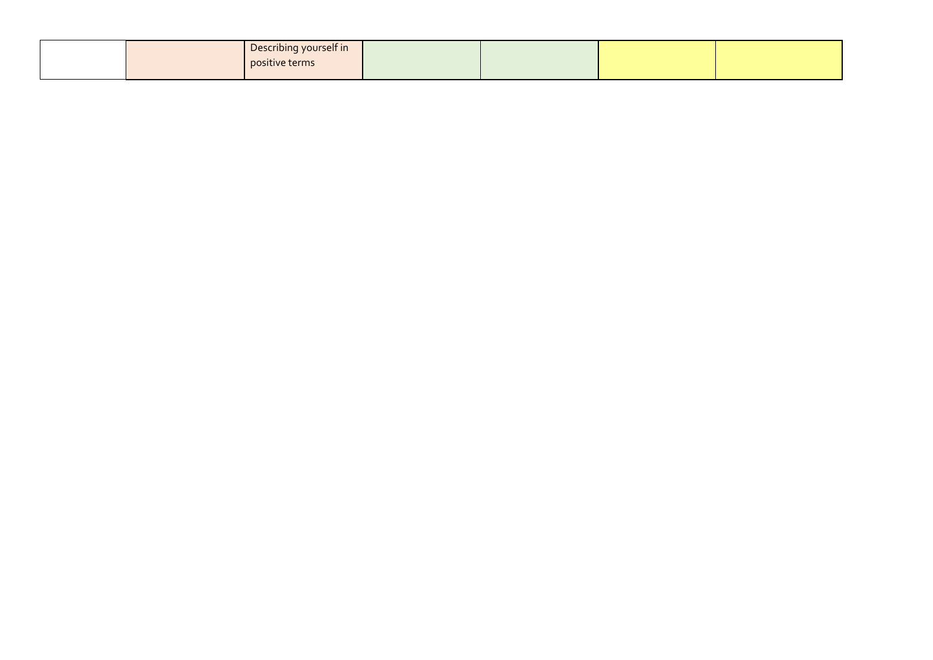|  | Describing yourself in<br>positive terms |  |  |
|--|------------------------------------------|--|--|
|  |                                          |  |  |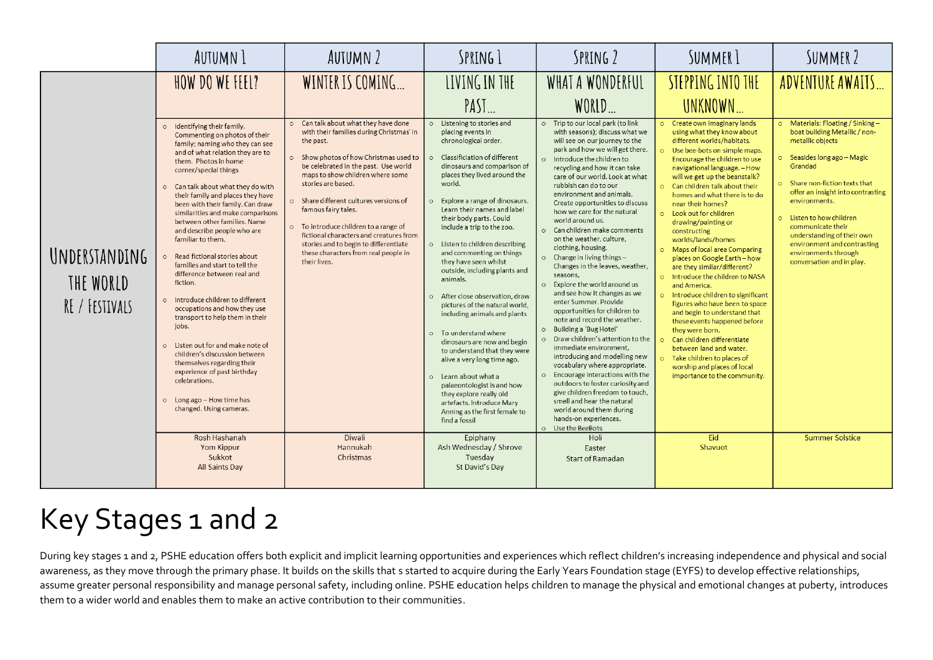|                                              | AUTUMN 1                                                                                                                                                                                                                                                                                                                                                                                                                                                                                                                                                                                                                                                                                                                                            | <b>AUTUMN 2</b>                                                                                                                                                                                                                                                                                                                                                                                                                                                                                                   | SPRING 1                                                                                                                                                                                                                                                                                                                                                                                                                                                                                                                                                                                                                                                                 | SPRING 2                                                                                                                                                                                                                                                                                                                                                                                                                                                                                                                                                                                                                                                                                                                                                                                                                                         | SUMMER <sub>1</sub>                                                                                                                                                                                                                                                                                                                                                                                                                                                                                                                                                                                                                                                                                                                                                                                                       | SUMMER 2                                                                                                                                                                                                                                                                                                                                                                                                        |
|----------------------------------------------|-----------------------------------------------------------------------------------------------------------------------------------------------------------------------------------------------------------------------------------------------------------------------------------------------------------------------------------------------------------------------------------------------------------------------------------------------------------------------------------------------------------------------------------------------------------------------------------------------------------------------------------------------------------------------------------------------------------------------------------------------------|-------------------------------------------------------------------------------------------------------------------------------------------------------------------------------------------------------------------------------------------------------------------------------------------------------------------------------------------------------------------------------------------------------------------------------------------------------------------------------------------------------------------|--------------------------------------------------------------------------------------------------------------------------------------------------------------------------------------------------------------------------------------------------------------------------------------------------------------------------------------------------------------------------------------------------------------------------------------------------------------------------------------------------------------------------------------------------------------------------------------------------------------------------------------------------------------------------|--------------------------------------------------------------------------------------------------------------------------------------------------------------------------------------------------------------------------------------------------------------------------------------------------------------------------------------------------------------------------------------------------------------------------------------------------------------------------------------------------------------------------------------------------------------------------------------------------------------------------------------------------------------------------------------------------------------------------------------------------------------------------------------------------------------------------------------------------|---------------------------------------------------------------------------------------------------------------------------------------------------------------------------------------------------------------------------------------------------------------------------------------------------------------------------------------------------------------------------------------------------------------------------------------------------------------------------------------------------------------------------------------------------------------------------------------------------------------------------------------------------------------------------------------------------------------------------------------------------------------------------------------------------------------------------|-----------------------------------------------------------------------------------------------------------------------------------------------------------------------------------------------------------------------------------------------------------------------------------------------------------------------------------------------------------------------------------------------------------------|
| UNDERSTANDING<br>THE WORLD<br>RE / FESTIVALS | HOW DO WE FEEL?<br>o Identifying their family.<br>Commenting on photos of their<br>family; naming who they can see<br>and of what relation they are to<br>them. Photos in home<br>corner/special things<br>o Can talk about what they do with<br>their family and places they have<br>been with their family. Can draw<br>similarities and make comparisons<br>between other families. Name<br>and describe people who are<br>familiar to them.<br>Read fictional stories about<br>families and start to tell the<br>difference between real and<br>fiction.<br>o Introduce children to different<br>occupations and how they use<br>transport to help them in their<br>jobs.<br>o Listen out for and make note of<br>children's discussion between | WINTER IS COMING<br>Can talk about what they have done<br>with their families during Christmas' in<br>the past.<br>o Show photos of how Christmas used to<br>be celebrated in the past. Use world<br>maps to show children where some<br>stories are based.<br>o Share different cultures versions of<br>famous fairy tales.<br>o To introduce children to a range of<br>fictional characters and creatures from<br>stories and to begin to differentiate<br>these characters from real people in<br>their lives. | LIVING IN THE<br>$PASI$<br>o Listening to stories and<br>placing events in<br>chronological order.<br>Classificiation of different<br>dinosaurs and comparison of<br>places they lived around the<br>world.<br>o Explore a range of dinosaurs.<br>Learn their names and label<br>their body parts. Could<br>include a trip to the zoo.<br>o Listen to children describing<br>and commenting on things<br>they have seen whilst<br>outside, including plants and<br>animals.<br>o After close observation, draw<br>pictures of the natural world,<br>including animals and plants<br>o To understand where<br>dinosaurs are now and begin<br>to understand that they were | WHAT A WONDERFUL<br>WORLD<br>o Trip to our local park (to link<br>with seasons); discuss what we<br>will see on our journey to the<br>park and how we will get there.<br>o Introduce the children to<br>recycling and how it can take<br>care of our world. Look at what<br>rubbish can do to our<br>environment and animals.<br>Create opportunities to discuss<br>how we care for the natural<br>world around us.<br>o Can children make comments<br>on the weather, culture,<br>clothing, housing.<br>$\circ$ Change in living things -<br>Changes in the leaves, weather,<br>seasons,<br>o Explore the world around us<br>and see how it changes as we<br>enter Summer, Provide<br>opportunities for children to<br>note and record the weather.<br>o Building a 'Bug Hotel'<br>o Draw children's attention to the<br>immediate environment. | STEPPING INTO THE<br>UNKNOWN<br>o Create own imaginary lands<br>using what they know about<br>different worlds/habitats.<br>o Use bee-bots on simple maps.<br>Encourage the children to use<br>navigational language. - How<br>will we get up the beanstalk?<br>o Can children talk about their<br>homes and what there is to do<br>near their homes?<br>o Look out for children<br>drawing/painting or<br>constructing<br>worlds/lands/homes<br>o Maps of local area Comparing<br>places on Google Earth - how<br>are they similar/different?<br>o Introduce the children to NASA<br>and America.<br>o Introduce children to significant<br>figures who have been to space<br>and begin to understand that<br>these events happened before<br>they were born.<br>o Can children differentiate<br>between land and water. | ADVENTURE AWAITS<br>o Materials: Floating / Sinking -<br>boat building Metallic / non-<br>metallic objects<br>o Seasides long ago - Magic<br>Grandad<br>o Share non-fiction texts that<br>offer an insight into contrasting<br>environments.<br>o Listen to how children<br>communicate their<br>understanding of their own<br>environment and contrasting<br>environments through<br>conversation and in play. |
|                                              | themselves regarding their<br>experience of past birthday<br>celebrations.<br>o Long ago - How time has<br>changed. Using cameras.<br>Rosh Hashanah<br>Yom Kippur<br>Sukkot<br>All Saints Day                                                                                                                                                                                                                                                                                                                                                                                                                                                                                                                                                       | <b>Diwali</b><br>Hannukah<br>Christmas                                                                                                                                                                                                                                                                                                                                                                                                                                                                            | alive a very long time ago.<br>o Learn about what a<br>palaeontologist is and how<br>they explore really old<br>artefacts. Introduce Mary<br>Anning as the first female to<br>find a fossil<br>Epiphany<br>Ash Wednesday / Shrove<br>Tuesday<br>St David's Day                                                                                                                                                                                                                                                                                                                                                                                                           | introducing and modelling new<br>vocabulary where appropriate.<br>o Encourage interactions with the<br>outdoors to foster curiosity and<br>give children freedom to touch.<br>smell and hear the natural<br>world around them during<br>hands-on experiences.<br>O Use the BeeBots<br>Holi<br>Easter<br><b>Start of Ramadan</b>                                                                                                                                                                                                                                                                                                                                                                                                                                                                                                                  | o Take children to places of<br>worship and places of local<br>importance to the community.<br>Eid<br>Shavuot                                                                                                                                                                                                                                                                                                                                                                                                                                                                                                                                                                                                                                                                                                             | <b>Summer Solstice</b>                                                                                                                                                                                                                                                                                                                                                                                          |

### Key Stages 1 and 2

During key stages 1 and 2, PSHE education offers both explicit and implicit learning opportunities and experiences which reflect children's increasing independence and physical and social awareness, as they move through the primary phase. It builds on the skills that s started to acquire during the Early Years Foundation stage (EYFS) to develop effective relationships, assume greater personal responsibility and manage personal safety, including online. PSHE education helps children to manage the physical and emotional changes at puberty, introduces them to a wider world and enables them to make an active contribution to their communities.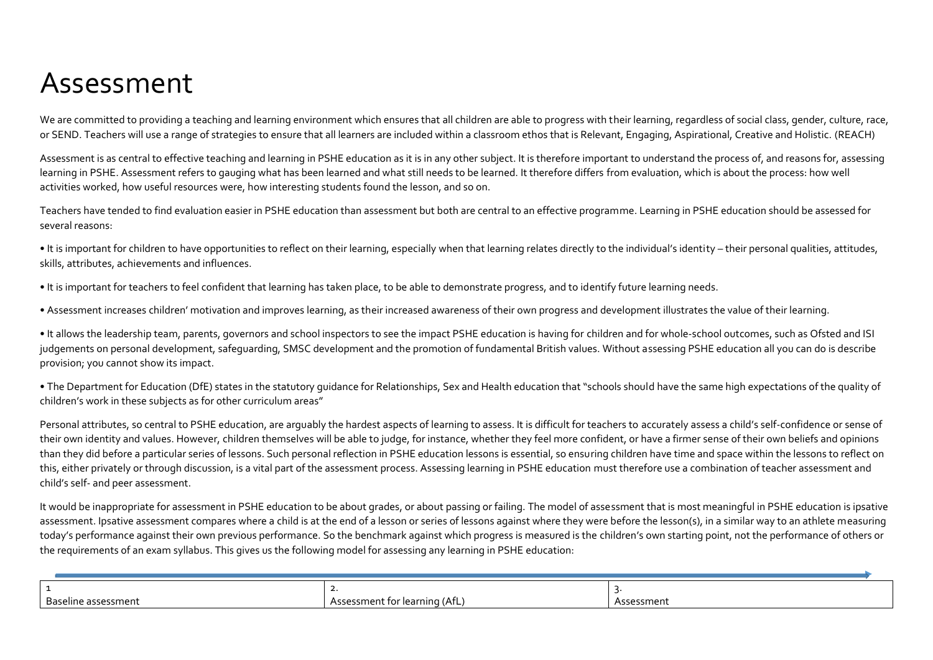### Assessment

We are committed to providing a teaching and learning environment which ensures that all children are able to progress with their learning, regardless of social class, gender, culture, race, or SEND. Teachers will use a range of strategies to ensure that all learners are included within a classroom ethos that is Relevant, Engaging, Aspirational, Creative and Holistic. (REACH)

Assessment is as central to effective teaching and learning in PSHE education as it is in any other subject. It is therefore important to understand the process of, and reasons for, assessing learning in PSHE. Assessment refers to gauging what has been learned and what still needs to be learned. It therefore differs from evaluation, which is about the process: how well activities worked, how useful resources were, how interesting students found the lesson, and so on.

Teachers have tended to find evaluation easier in PSHE education than assessment but both are central to an effective programme. Learning in PSHE education should be assessed for several reasons:

• It is important for children to have opportunities to reflect on their learning, especially when that learning relates directly to the individual's identity – their personal qualities, attitudes, skills, attributes, achievements and influences.

• It is important for teachers to feel confident that learning has taken place, to be able to demonstrate progress, and to identify future learning needs.

• Assessment increases children' motivation and improves learning, as their increased awareness of their own progress and development illustrates the value of their learning.

• It allows the leadership team, parents, governors and school inspectors to see the impact PSHE education is having for children and for whole-school outcomes, such as Ofsted and ISI judgements on personal development, safeguarding, SMSC development and the promotion of fundamental British values. Without assessing PSHE education all you can do is describe provision; you cannot show its impact.

• The Department for Education (DfE) states in the statutory guidance for Relationships, Sex and Health education that "schools should have the same high expectations of the quality of children's work in these subjects as for other curriculum areas"

Personal attributes, so central to PSHE education, are arguably the hardest aspects of learning to assess. It is difficult for teachers to accurately assess a child's self-confidence or sense of their own identity and values. However, children themselves will be able to judge, for instance, whether they feel more confident, or have a firmer sense of their own beliefs and opinions than they did before a particular series of lessons. Such personal reflection in PSHE education lessons is essential, so ensuring children have time and space within the lessons to reflect on this, either privately or through discussion, is a vital part of the assessment process. Assessing learning in PSHE education must therefore use a combination of teacher assessment and child's self- and peer assessment.

It would be inappropriate for assessment in PSHE education to be about grades, or about passing or failing. The model of assessment that is most meaningful in PSHE education is ipsative assessment. Ipsative assessment compares where a child is at the end of a lesson or series of lessons against where they were before the lesson(s), in a similar way to an athlete measuring today's performance against their own previous performance. So the benchmark against which progress is measured is the children's own starting point, not the performance of others or the requirements of an exam syllabus. This gives us the following model for assessing any learning in PSHE education:

| Baseline assessment | Assessment for learning (AfL) | ີ essment |
|---------------------|-------------------------------|-----------|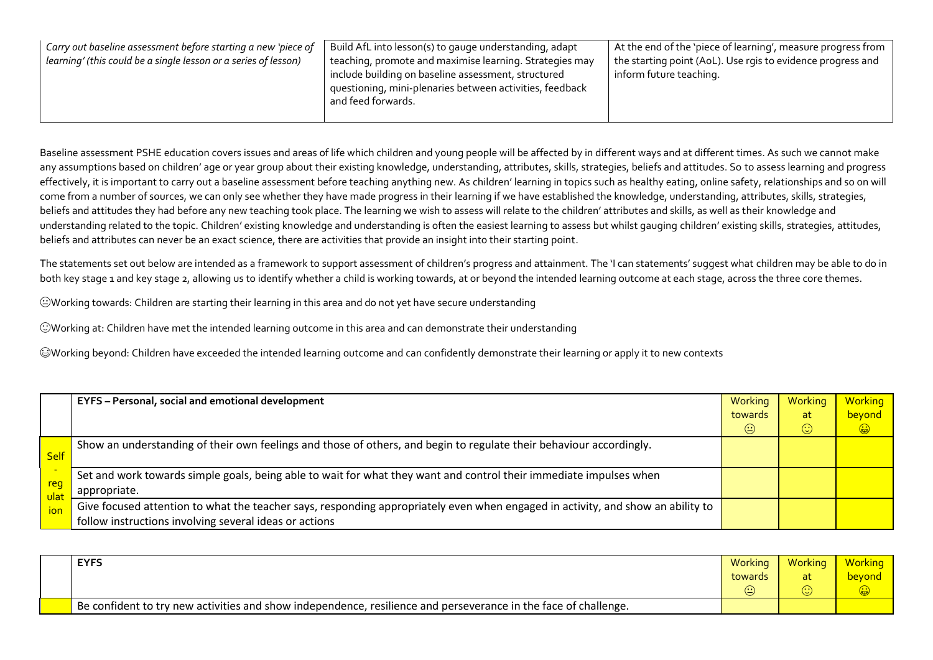| Carry out baseline assessment before starting a new 'piece of<br>learning' (this could be a single lesson or a series of lesson) | Build AfL into lesson(s) to gauge understanding, adapt<br>teaching, promote and maximise learning. Strategies may<br>include building on baseline assessment, structured<br>questioning, mini-plenaries between activities, feedback<br>and feed forwards. | At the end of the 'piece of learning', measure progress from<br>the starting point (AoL). Use rgis to evidence progress and<br>inform future teaching. |
|----------------------------------------------------------------------------------------------------------------------------------|------------------------------------------------------------------------------------------------------------------------------------------------------------------------------------------------------------------------------------------------------------|--------------------------------------------------------------------------------------------------------------------------------------------------------|
|----------------------------------------------------------------------------------------------------------------------------------|------------------------------------------------------------------------------------------------------------------------------------------------------------------------------------------------------------------------------------------------------------|--------------------------------------------------------------------------------------------------------------------------------------------------------|

Baseline assessment PSHE education covers issues and areas of life which children and young people will be affected by in different ways and at different times. As such we cannot make any assumptions based on children' age or year group about their existing knowledge, understanding, attributes, skills, strategies, beliefs and attitudes. So to assess learning and progress effectively, it is important to carry out a baseline assessment before teaching anything new. As children' learning in topics such as healthy eating, online safety, relationships and so on will come from a number of sources, we can only see whether they have made progress in their learning if we have established the knowledge, understanding, attributes, skills, strategies, beliefs and attitudes they had before any new teaching took place. The learning we wish to assess will relate to the children' attributes and skills, as well as their knowledge and understanding related to the topic. Children' existing knowledge and understanding is often the easiest learning to assess but whilst gauging children' existing skills, strategies, attitudes, beliefs and attributes can never be an exact science, there are activities that provide an insight into their starting point.

The statements set out below are intended as a framework to support assessment of children's progress and attainment. The 'I can statements' suggest what children may be able to do in both key stage 1 and key stage 2, allowing us to identify whether a child is working towards, at or beyond the intended learning outcome at each stage, across the three core themes.

Working towards: Children are starting their learning in this area and do not yet have secure understanding

Working at: Children have met the intended learning outcome in this area and can demonstrate their understanding

Working beyond: Children have exceeded the intended learning outcome and can confidently demonstrate their learning or apply it to new contexts

|                    | EYFS - Personal, social and emotional development                                                                               | Working | <b>Working</b>                                  | <b>Working</b> |
|--------------------|---------------------------------------------------------------------------------------------------------------------------------|---------|-------------------------------------------------|----------------|
|                    |                                                                                                                                 | towards | at                                              | beyond         |
|                    |                                                                                                                                 | $\odot$ | $\left(\!\!\left.\dot{\cdot}\right)\!\!\right)$ | $\bigoplus$    |
|                    | Show an understanding of their own feelings and those of others, and begin to regulate their behaviour accordingly.             |         |                                                 |                |
| <b>Self</b>        |                                                                                                                                 |         |                                                 |                |
|                    | Set and work towards simple goals, being able to wait for what they want and control their immediate impulses when              |         |                                                 |                |
| reg<br><b>ulat</b> | appropriate.                                                                                                                    |         |                                                 |                |
| ion                | Give focused attention to what the teacher says, responding appropriately even when engaged in activity, and show an ability to |         |                                                 |                |
|                    | follow instructions involving several ideas or actions                                                                          |         |                                                 |                |

| <b>EYFS</b>                                                                                                     | Working | Working | Working |
|-----------------------------------------------------------------------------------------------------------------|---------|---------|---------|
|                                                                                                                 | towards |         | bevond  |
|                                                                                                                 | (٠٠     |         |         |
| Be confident to try new activities and show independence, resilience and perseverance in the face of challenge. |         |         |         |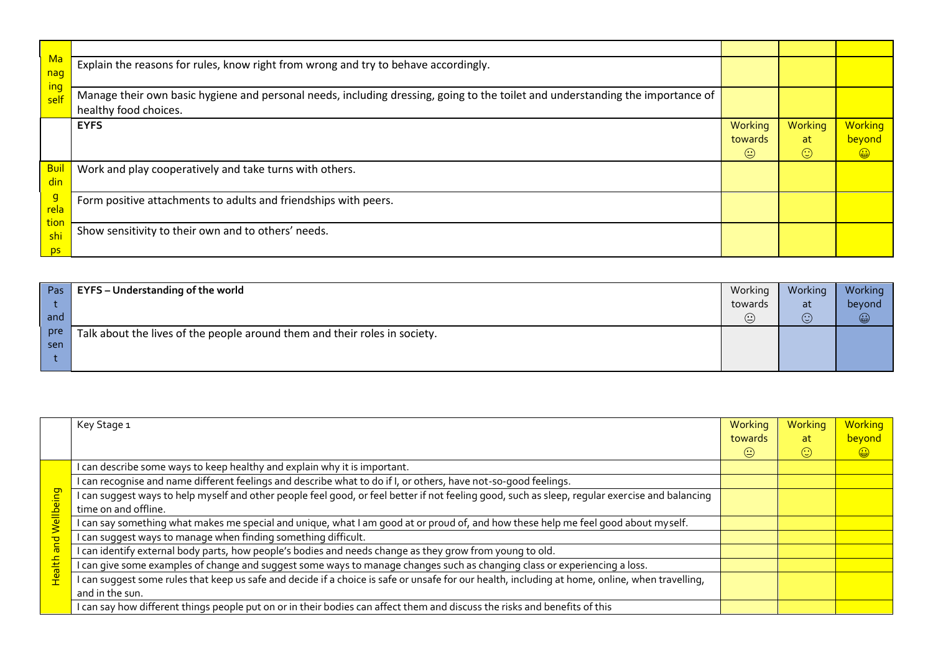| Ma                | Explain the reasons for rules, know right from wrong and try to behave accordingly.                                            |         |         |            |
|-------------------|--------------------------------------------------------------------------------------------------------------------------------|---------|---------|------------|
| nag<br><u>ing</u> |                                                                                                                                |         |         |            |
| self              | Manage their own basic hygiene and personal needs, including dressing, going to the toilet and understanding the importance of |         |         |            |
|                   | healthy food choices.                                                                                                          |         |         |            |
|                   | <b>EYFS</b>                                                                                                                    | Working | Working | Working    |
|                   |                                                                                                                                | towards | at      | beyond     |
|                   |                                                                                                                                | ☺       | $\odot$ | $\bigcirc$ |
| <b>Bui</b>        | Work and play cooperatively and take turns with others.                                                                        |         |         |            |
| din               |                                                                                                                                |         |         |            |
| $\frac{g}{rela}$  | Form positive attachments to adults and friendships with peers.                                                                |         |         |            |
|                   |                                                                                                                                |         |         |            |
| tior<br>shi       | Show sensitivity to their own and to others' needs.                                                                            |         |         |            |
|                   |                                                                                                                                |         |         |            |
| ps                |                                                                                                                                |         |         |            |

| Pas | EYFS - Understanding of the world                                          | Working | Working    | Working |
|-----|----------------------------------------------------------------------------|---------|------------|---------|
|     |                                                                            | towards | at         | beyond  |
| and |                                                                            | ☺       | (۰۰<br>ίM. | ۳       |
| pre | Talk about the lives of the people around them and their roles in society. |         |            |         |
| sen |                                                                            |         |            |         |
|     |                                                                            |         |            |         |

|                    | Key Stage 1                                                                                                                                     | Working<br>towards | Working<br>at        | <b>Working</b><br>beyond |
|--------------------|-------------------------------------------------------------------------------------------------------------------------------------------------|--------------------|----------------------|--------------------------|
|                    |                                                                                                                                                 | $\odot$            | $\left(\cdot\right)$ | $\bigcirc$               |
|                    | I can describe some ways to keep healthy and explain why it is important.                                                                       |                    |                      |                          |
|                    | I can recognise and name different feelings and describe what to do if I, or others, have not-so-good feelings.                                 |                    |                      |                          |
| <u>puie</u>        | I can suggest ways to help myself and other people feel good, or feel better if not feeling good, such as sleep, regular exercise and balancing |                    |                      |                          |
| a <mark>lle</mark> | time on and offline.                                                                                                                            |                    |                      |                          |
|                    | I can say something what makes me special and unique, what I am good at or proud of, and how these help me feel good about myself.              |                    |                      |                          |
|                    | I can suggest ways to manage when finding something difficult.                                                                                  |                    |                      |                          |
|                    | I can identify external body parts, how people's bodies and needs change as they grow from young to old.                                        |                    |                      |                          |
| <b>Health</b>      | I can give some examples of change and suggest some ways to manage changes such as changing class or experiencing a loss.                       |                    |                      |                          |
|                    | I can suggest some rules that keep us safe and decide if a choice is safe or unsafe for our health, including at home, online, when travelling, |                    |                      |                          |
|                    | and in the sun.                                                                                                                                 |                    |                      |                          |
|                    | I can say how different things people put on or in their bodies can affect them and discuss the risks and benefits of this                      |                    |                      |                          |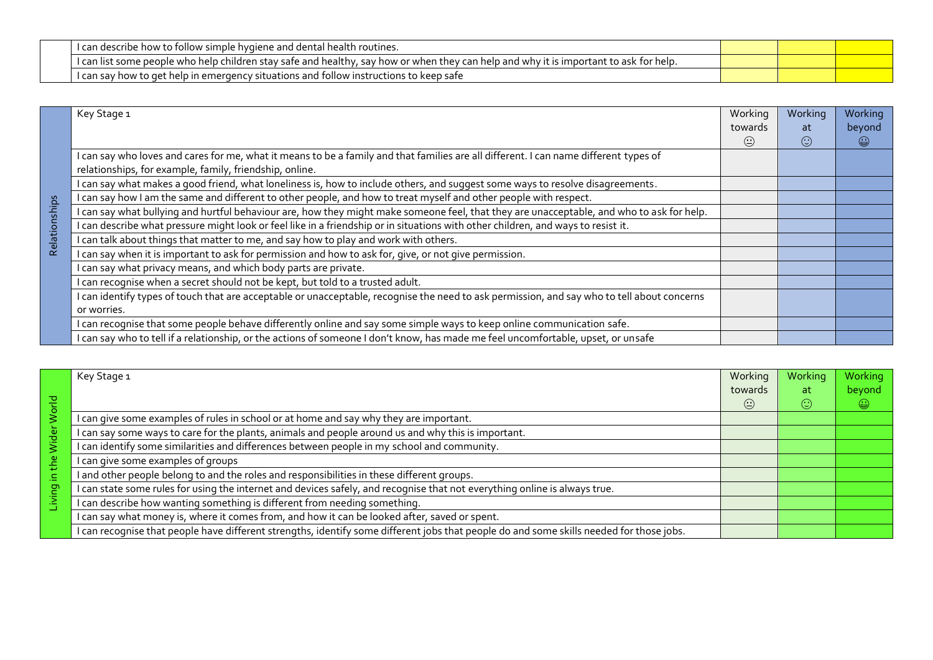| Trean describe how to follow simple hygiene and dental health i<br>routines                                                                                                                 |  |  |
|---------------------------------------------------------------------------------------------------------------------------------------------------------------------------------------------|--|--|
| i can list<br>e who help children stav safe and healthy.<br>tor help."<br>r when thev can he<br>' how or<br>. help and why <sub>"</sub><br>. some people<br>7 it is important to ask<br>sav |  |  |
| p in emergency situations and follow instructions .<br>"I can say how to ge<br>: help<br>is to keep safe.                                                                                   |  |  |

|               | Key Stage 1                                                                                                                                 | Working                          | Working   | Working    |
|---------------|---------------------------------------------------------------------------------------------------------------------------------------------|----------------------------------|-----------|------------|
|               |                                                                                                                                             | towards                          | at.       | beyond     |
|               |                                                                                                                                             | $\left(\underline{\cdot}\right)$ | $(\cdot)$ | $\bigcirc$ |
|               | I can say who loves and cares for me, what it means to be a family and that families are all different. I can name different types of       |                                  |           |            |
|               | relationships, for example, family, friendship, online.                                                                                     |                                  |           |            |
|               | I can say what makes a good friend, what loneliness is, how to include others, and suggest some ways to resolve disagreements.              |                                  |           |            |
|               | I can say how I am the same and different to other people, and how to treat myself and other people with respect.                           |                                  |           |            |
| Relationships | I can say what bullying and hurtful behaviour are, how they might make someone feel, that they are unacceptable, and who to ask for help.   |                                  |           |            |
|               | I can describe what pressure might look or feel like in a friendship or in situations with other children, and ways to resist it.           |                                  |           |            |
|               | I can talk about things that matter to me, and say how to play and work with others.                                                        |                                  |           |            |
|               | I can say when it is important to ask for permission and how to ask for, give, or not give permission.                                      |                                  |           |            |
|               | I can say what privacy means, and which body parts are private.                                                                             |                                  |           |            |
|               | I can recognise when a secret should not be kept, but told to a trusted adult.                                                              |                                  |           |            |
|               | I can identify types of touch that are acceptable or unacceptable, recognise the need to ask permission, and say who to tell about concerns |                                  |           |            |
|               | or worries.                                                                                                                                 |                                  |           |            |
|               | I can recognise that some people behave differently online and say some simple ways to keep online communication safe.                      |                                  |           |            |
|               | I can say who to tell if a relationship, or the actions of someone I don't know, has made me feel uncomfortable, upset, or unsafe           |                                  |           |            |

|                       | Key Stage 1                                                                                                                              | Working                                             | Working | Working |
|-----------------------|------------------------------------------------------------------------------------------------------------------------------------------|-----------------------------------------------------|---------|---------|
|                       |                                                                                                                                          | towards                                             | -at     | beyond  |
| 곤<br>Ō                |                                                                                                                                          | $\left(\!\!\left.\dot{\cdot}\!\!\right)\!\!\right)$ | $\odot$ | ۵       |
|                       | I can give some examples of rules in school or at home and say why they are important.                                                   |                                                     |         |         |
| $\mathbf \omega$<br>Ō | I can say some ways to care for the plants, animals and people around us and why this is important.                                      |                                                     |         |         |
|                       | can identify some similarities and differences between people in my school and community.                                                |                                                     |         |         |
| eq                    | I can give some examples of groups                                                                                                       |                                                     |         |         |
| g                     | and other people belong to and the roles and responsibilities in these different groups.                                                 |                                                     |         |         |
| g                     | I can state some rules for using the internet and devices safely, and recognise that not everything online is always true.               |                                                     |         |         |
|                       | I can describe how wanting something is different from needing something.                                                                |                                                     |         |         |
|                       | I can say what money is, where it comes from, and how it can be looked after, saved or spent.                                            |                                                     |         |         |
|                       | I can recognise that people have different strengths, identify some different jobs that people do and some skills needed for those jobs. |                                                     |         |         |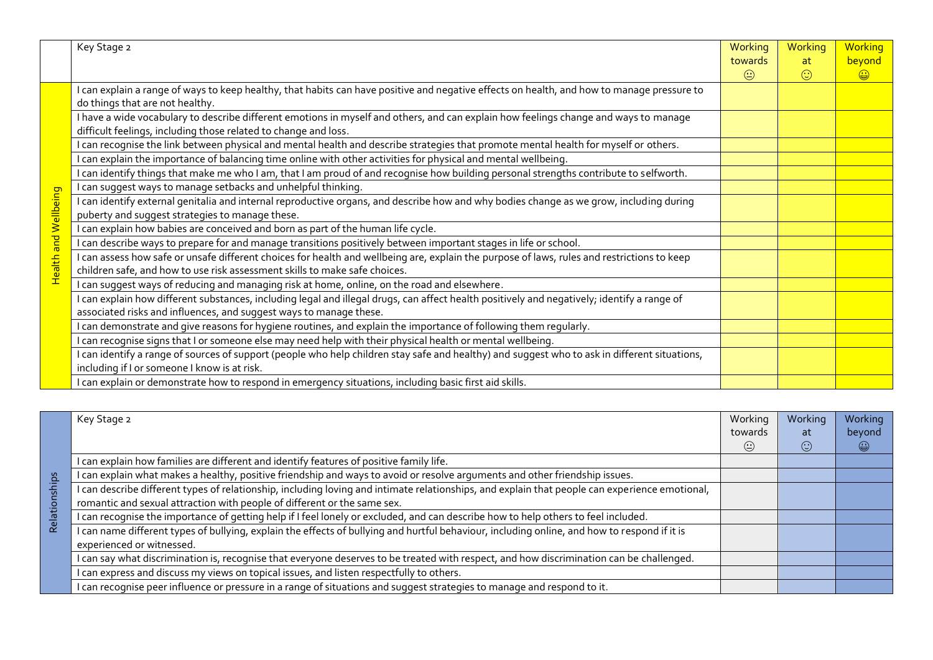|               | Key Stage 2                                                                                                                                                                                                               | Working | Working | Working    |
|---------------|---------------------------------------------------------------------------------------------------------------------------------------------------------------------------------------------------------------------------|---------|---------|------------|
|               |                                                                                                                                                                                                                           | towards | at      | beyond     |
|               |                                                                                                                                                                                                                           | $\odot$ | $\odot$ | $\bigcirc$ |
|               | I can explain a range of ways to keep healthy, that habits can have positive and negative effects on health, and how to manage pressure to<br>do things that are not healthy.                                             |         |         |            |
|               | I have a wide vocabulary to describe different emotions in myself and others, and can explain how feelings change and ways to manage<br>difficult feelings, including those related to change and loss.                   |         |         |            |
|               | I can recognise the link between physical and mental health and describe strategies that promote mental health for myself or others.                                                                                      |         |         |            |
|               | I can explain the importance of balancing time online with other activities for physical and mental wellbeing.                                                                                                            |         |         |            |
|               | can identify things that make me who I am, that I am proud of and recognise how building personal strengths contribute to selfworth.                                                                                      |         |         |            |
|               | I can suggest ways to manage setbacks and unhelpful thinking.                                                                                                                                                             |         |         |            |
| and Wellbeing | I can identify external genitalia and internal reproductive organs, and describe how and why bodies change as we grow, including during<br>puberty and suggest strategies to manage these.                                |         |         |            |
|               | I can explain how babies are conceived and born as part of the human life cycle.                                                                                                                                          |         |         |            |
|               | I can describe ways to prepare for and manage transitions positively between important stages in life or school.                                                                                                          |         |         |            |
| Health        | I can assess how safe or unsafe different choices for health and wellbeing are, explain the purpose of laws, rules and restrictions to keep<br>children safe, and how to use risk assessment skills to make safe choices. |         |         |            |
|               | I can suggest ways of reducing and managing risk at home, online, on the road and elsewhere.                                                                                                                              |         |         |            |
|               | I can explain how different substances, including legal and illegal drugs, can affect health positively and negatively; identify a range of                                                                               |         |         |            |
|               | associated risks and influences, and suggest ways to manage these.                                                                                                                                                        |         |         |            |
|               | I can demonstrate and give reasons for hygiene routines, and explain the importance of following them regularly.                                                                                                          |         |         |            |
|               | I can recognise signs that I or someone else may need help with their physical health or mental wellbeing.                                                                                                                |         |         |            |
|               | I can identify a range of sources of support (people who help children stay safe and healthy) and suggest who to ask in different situations,                                                                             |         |         |            |
|               | including if I or someone I know is at risk.                                                                                                                                                                              |         |         |            |
|               | I can explain or demonstrate how to respond in emergency situations, including basic first aid skills.                                                                                                                    |         |         |            |

|          | Key Stage 2                                                                                                                                  | Working | Working   | Working |
|----------|----------------------------------------------------------------------------------------------------------------------------------------------|---------|-----------|---------|
|          |                                                                                                                                              | towards | at        | beyond  |
|          |                                                                                                                                              | $\odot$ | $(\cdot)$ | ۳       |
|          | can explain how families are different and identify features of positive family life.                                                        |         |           |         |
| sqi      | can explain what makes a healthy, positive friendship and ways to avoid or resolve arguments and other friendship issues.                    |         |           |         |
| S        | can describe different types of relationship, including loving and intimate relationships, and explain that people can experience emotional, |         |           |         |
|          | romantic and sexual attraction with people of different or the same sex.                                                                     |         |           |         |
| Relation | can recognise the importance of getting help if I feel lonely or excluded, and can describe how to help others to feel included.             |         |           |         |
|          | can name different types of bullying, explain the effects of bullying and hurtful behaviour, including online, and how to respond if it is   |         |           |         |
|          | experienced or witnessed.                                                                                                                    |         |           |         |
|          | can say what discrimination is, recognise that everyone deserves to be treated with respect, and how discrimination can be challenged.       |         |           |         |
|          | can express and discuss my views on topical issues, and listen respectfully to others.                                                       |         |           |         |
|          | can recognise peer influence or pressure in a range of situations and suggest strategies to manage and respond to it.                        |         |           |         |

П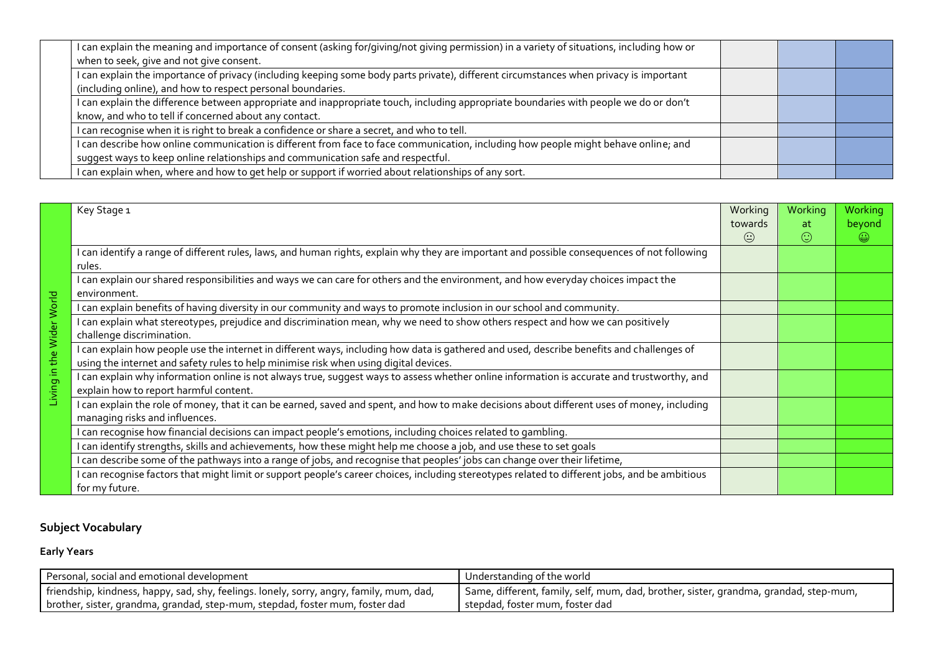| I can explain the meaning and importance of consent (asking for/giving/not giving permission) in a variety of situations, including how or<br>when to seek, give and not give consent.                                  |  |  |
|-------------------------------------------------------------------------------------------------------------------------------------------------------------------------------------------------------------------------|--|--|
| I can explain the importance of privacy (including keeping some body parts private), different circumstances when privacy is important<br>(including online), and how to respect personal boundaries.                   |  |  |
| I can explain the difference between appropriate and inappropriate touch, including appropriate boundaries with people we do or don't<br>know, and who to tell if concerned about any contact.                          |  |  |
| I can recognise when it is right to break a confidence or share a secret, and who to tell.                                                                                                                              |  |  |
| I can describe how online communication is different from face to face communication, including how people might behave online; and<br>suggest ways to keep online relationships and communication safe and respectful. |  |  |
| I can explain when, where and how to get help or support if worried about relationships of any sort.                                                                                                                    |  |  |

|                           | Key Stage 1                                                                                                                                        | Working | Working | Working    |
|---------------------------|----------------------------------------------------------------------------------------------------------------------------------------------------|---------|---------|------------|
|                           |                                                                                                                                                    | towards | at      | beyond     |
|                           |                                                                                                                                                    | $\odot$ | $\odot$ | $\bigcirc$ |
|                           | I can identify a range of different rules, laws, and human rights, explain why they are important and possible consequences of not following       |         |         |            |
|                           | rules.                                                                                                                                             |         |         |            |
|                           | I can explain our shared responsibilities and ways we can care for others and the environment, and how everyday choices impact the<br>environment. |         |         |            |
| World                     | I can explain benefits of having diversity in our community and ways to promote inclusion in our school and community.                             |         |         |            |
| Wider<br>the<br>Living in | I can explain what stereotypes, prejudice and discrimination mean, why we need to show others respect and how we can positively                    |         |         |            |
|                           | challenge discrimination.                                                                                                                          |         |         |            |
|                           | I can explain how people use the internet in different ways, including how data is gathered and used, describe benefits and challenges of          |         |         |            |
|                           | using the internet and safety rules to help minimise risk when using digital devices.                                                              |         |         |            |
|                           | I can explain why information online is not always true, suggest ways to assess whether online information is accurate and trustworthy, and        |         |         |            |
|                           | explain how to report harmful content.                                                                                                             |         |         |            |
|                           | I can explain the role of money, that it can be earned, saved and spent, and how to make decisions about different uses of money, including        |         |         |            |
|                           | managing risks and influences.                                                                                                                     |         |         |            |
|                           | I can recognise how financial decisions can impact people's emotions, including choices related to gambling.                                       |         |         |            |
|                           | I can identify strengths, skills and achievements, how these might help me choose a job, and use these to set goals                                |         |         |            |
|                           | I can describe some of the pathways into a range of jobs, and recognise that peoples' jobs can change over their lifetime,                         |         |         |            |
|                           | I can recognise factors that might limit or support people's career choices, including stereotypes related to different jobs, and be ambitious     |         |         |            |
|                           | for my future.                                                                                                                                     |         |         |            |

### **Subject Vocabulary**

### **Early Years**

| Personal, social and emotional development                                               | Understanding of the world                                                            |
|------------------------------------------------------------------------------------------|---------------------------------------------------------------------------------------|
| friendship, kindness, happy, sad, shy, feelings. lonely, sorry, angry, family, mum, dad, | Same, different, family, self, mum, dad, brother, sister, grandma, grandad, step-mum, |
| brother, sister, grandma, grandad, step-mum, stepdad, foster mum, foster dad             | stepdad, foster mum, foster dad                                                       |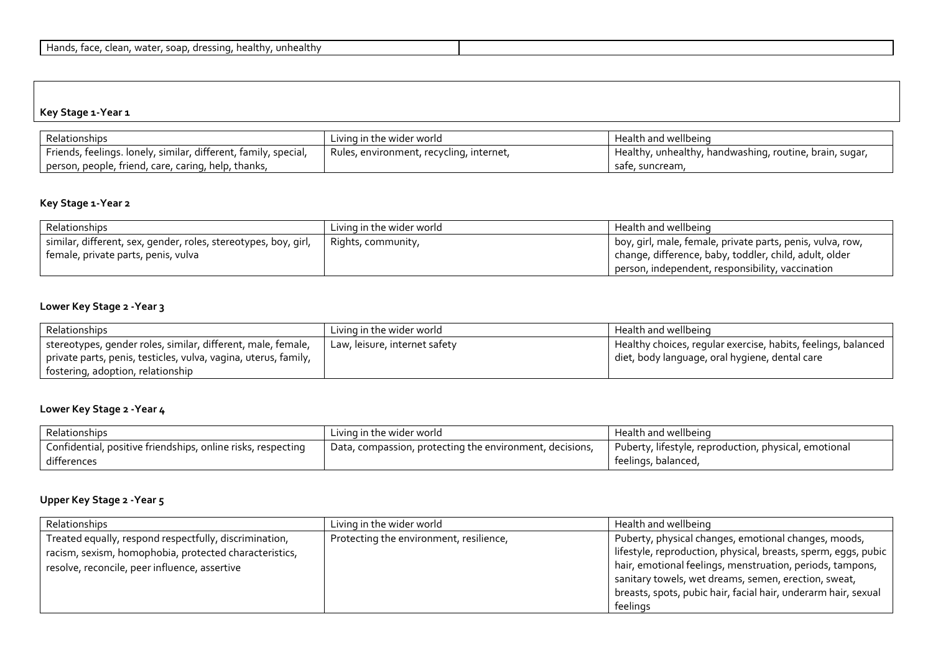#### **Key Stage 1-Year 1**

| Relationships                                                   | Living in the wider world                | Health and wellbeing                                    |
|-----------------------------------------------------------------|------------------------------------------|---------------------------------------------------------|
| Friends, feelings. lonely, similar, different, family, special, | Rules, environment, recycling, internet, | Healthy, unhealthy, handwashing, routine, brain, sugar, |
| person, people, friend, care, caring, help, thanks,             |                                          | safe, suncream,                                         |

#### **Key Stage 1-Year 2**

| Relationships                                                   | Living in the wider world | Health and wellbeing                                       |
|-----------------------------------------------------------------|---------------------------|------------------------------------------------------------|
| similar, different, sex, gender, roles, stereotypes, boy, girl, | Rights, community,        | boy, girl, male, female, private parts, penis, vulva, row, |
| female, private parts, penis, vulva                             |                           | change, difference, baby, toddler, child, adult, older     |
|                                                                 |                           | person, independent, responsibility, vaccination           |

### **Lower Key Stage 2 -Year 3**

| Relationships                                                   | Living in the wider world     | Health and wellbeing                                          |
|-----------------------------------------------------------------|-------------------------------|---------------------------------------------------------------|
| stereotypes, gender roles, similar, different, male, female,    | Law, leisure, internet safety | Healthy choices, regular exercise, habits, feelings, balanced |
| private parts, penis, testicles, vulva, vagina, uterus, family, |                               | I diet, body language, oral hygiene, dental care              |
| fostering, adoption, relationship                               |                               |                                                               |

#### **Lower Key Stage 2 -Year 4**

| Relationships                                                | Living in the wider world                                | Health and wellbeing                                  |
|--------------------------------------------------------------|----------------------------------------------------------|-------------------------------------------------------|
| Confidential, positive friendships, online risks, respecting | Data, compassion, protecting the environment, decisions, | Puberty, lifestyle, reproduction, physical, emotional |
| differences                                                  |                                                          | feelings, balanced,                                   |

### **Upper Key Stage 2 -Year 5**

| Relationships                                          | Living in the wider world               | Health and wellbeing                                           |
|--------------------------------------------------------|-----------------------------------------|----------------------------------------------------------------|
| Treated equally, respond respectfully, discrimination, | Protecting the environment, resilience, | Puberty, physical changes, emotional changes, moods,           |
| racism, sexism, homophobia, protected characteristics, |                                         | lifestyle, reproduction, physical, breasts, sperm, eggs, pubic |
| resolve, reconcile, peer influence, assertive          |                                         | hair, emotional feelings, menstruation, periods, tampons,      |
|                                                        |                                         | sanitary towels, wet dreams, semen, erection, sweat,           |
|                                                        |                                         | breasts, spots, pubic hair, facial hair, underarm hair, sexual |
|                                                        |                                         | feelings                                                       |